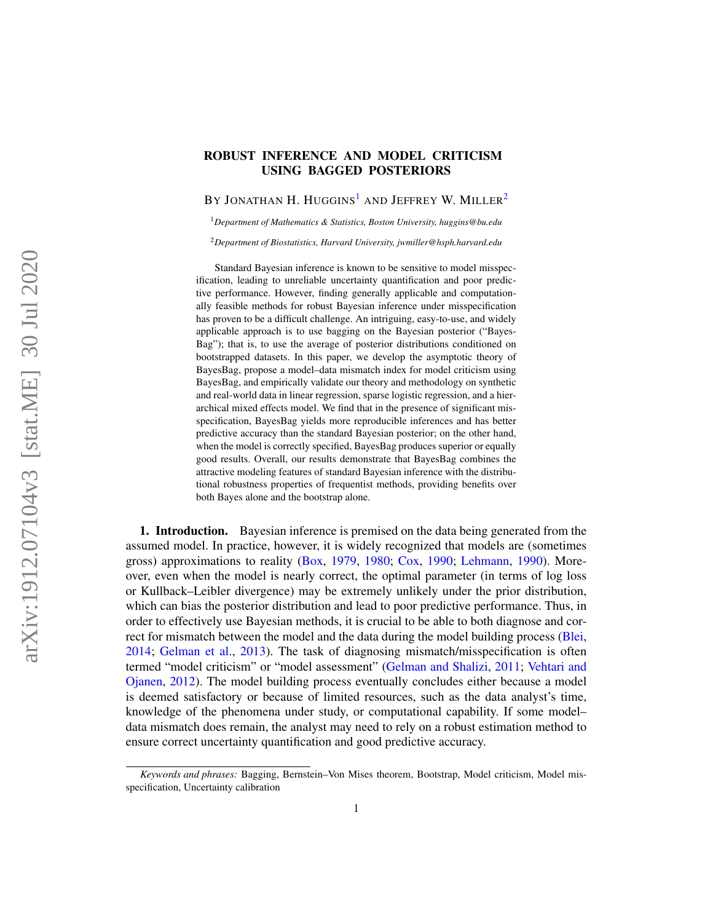# ROBUST INFERENCE AND MODEL CRITICISM USING BAGGED POSTERIORS

BY JONATHAN H. HUGGINS<sup>[1](#page-0-0)</sup> AND JEFFREY W. MILLER<sup>[2](#page-0-1)</sup>

<span id="page-0-0"></span><sup>1</sup>*Department of Mathematics & Statistics, Boston University, [huggins@bu.edu](mailto:huggins@bu.edu)*

<span id="page-0-1"></span><sup>2</sup>*Department of Biostatistics, Harvard University, [jwmiller@hsph.harvard.edu](mailto:jwmiller@hsph.harvard.edu)*

Standard Bayesian inference is known to be sensitive to model misspecification, leading to unreliable uncertainty quantification and poor predictive performance. However, finding generally applicable and computationally feasible methods for robust Bayesian inference under misspecification has proven to be a difficult challenge. An intriguing, easy-to-use, and widely applicable approach is to use bagging on the Bayesian posterior ("Bayes-Bag"); that is, to use the average of posterior distributions conditioned on bootstrapped datasets. In this paper, we develop the asymptotic theory of BayesBag, propose a model–data mismatch index for model criticism using BayesBag, and empirically validate our theory and methodology on synthetic and real-world data in linear regression, sparse logistic regression, and a hierarchical mixed effects model. We find that in the presence of significant misspecification, BayesBag yields more reproducible inferences and has better predictive accuracy than the standard Bayesian posterior; on the other hand, when the model is correctly specified, BayesBag produces superior or equally good results. Overall, our results demonstrate that BayesBag combines the attractive modeling features of standard Bayesian inference with the distributional robustness properties of frequentist methods, providing benefits over both Bayes alone and the bootstrap alone.

<span id="page-0-2"></span>1. Introduction. Bayesian inference is premised on the data being generated from the assumed model. In practice, however, it is widely recognized that models are (sometimes gross) approximations to reality [\(Box,](#page-21-0) [1979,](#page-21-0) [1980;](#page-21-1) [Cox,](#page-21-2) [1990;](#page-21-2) [Lehmann,](#page-22-0) [1990\)](#page-22-0). Moreover, even when the model is nearly correct, the optimal parameter (in terms of log loss or Kullback–Leibler divergence) may be extremely unlikely under the prior distribution, which can bias the posterior distribution and lead to poor predictive performance. Thus, in order to effectively use Bayesian methods, it is crucial to be able to both diagnose and correct for mismatch between the model and the data during the model building process [\(Blei,](#page-21-3) [2014;](#page-21-3) [Gelman et al.,](#page-22-1) [2013\)](#page-22-1). The task of diagnosing mismatch/misspecification is often termed "model criticism" or "model assessment" [\(Gelman and Shalizi,](#page-22-2) [2011;](#page-22-2) [Vehtari and](#page-23-0) [Ojanen,](#page-23-0) [2012\)](#page-23-0). The model building process eventually concludes either because a model is deemed satisfactory or because of limited resources, such as the data analyst's time, knowledge of the phenomena under study, or computational capability. If some model– data mismatch does remain, the analyst may need to rely on a robust estimation method to ensure correct uncertainty quantification and good predictive accuracy.

*Keywords and phrases:* Bagging, Bernstein–Von Mises theorem, Bootstrap, Model criticism, Model misspecification, Uncertainty calibration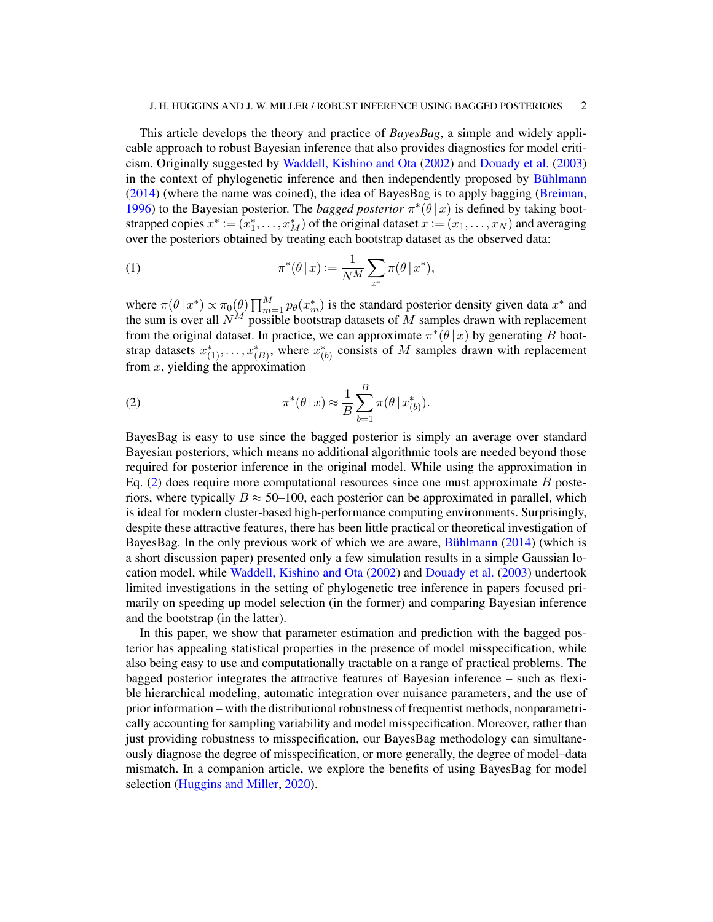#### J. H. HUGGINS AND J. W. MILLER / ROBUST INFERENCE USING BAGGED POSTERIORS 2

This article develops the theory and practice of *BayesBag*, a simple and widely applicable approach to robust Bayesian inference that also provides diagnostics for model criticism. Originally suggested by [Waddell, Kishino and Ota](#page-23-1) [\(2002\)](#page-23-1) and [Douady et al.](#page-21-4) [\(2003\)](#page-21-4) in the context of phylogenetic inference and then independently proposed by [Bühlmann](#page-21-5)  $(2014)$  (where the name was coined), the idea of BayesBag is to apply bagging [\(Breiman,](#page-21-6) [1996\)](#page-21-6) to the Bayesian posterior. The *bagged posterior*  $\pi^*(\theta | x)$  is defined by taking bootstrapped copies  $x^* := (x_1^*, \ldots, x_M^*)$  of the original dataset  $x := (x_1, \ldots, x_N)$  and averaging over the posteriors obtained by treating each bootstrap dataset as the observed data:

<span id="page-1-1"></span>(1) 
$$
\pi^*(\theta \,|\, x) := \frac{1}{N^M} \sum_{x^*} \pi(\theta \,|\, x^*),
$$

where  $\pi(\theta | x^*) \propto \pi_0(\theta) \prod_{m=1}^M p_\theta(x_m^*)$  is the standard posterior density given data  $x^*$  and the sum is over all  $N^M$  possible bootstrap datasets of M samples drawn with replacement from the original dataset. In practice, we can approximate  $\pi^* ( \theta | x)$  by generating B bootstrap datasets  $x_{(1)}^*, \ldots, x_{(B)}^*$ , where  $x_{(b)}^*$  consists of M samples drawn with replacement from  $x$ , yielding the approximation

<span id="page-1-0"></span>(2) 
$$
\pi^*(\theta \,|\, x) \approx \frac{1}{B} \sum_{b=1}^B \pi(\theta \,|\, x^*_{(b)}).
$$

BayesBag is easy to use since the bagged posterior is simply an average over standard Bayesian posteriors, which means no additional algorithmic tools are needed beyond those required for posterior inference in the original model. While using the approximation in Eq.  $(2)$  does require more computational resources since one must approximate B posteriors, where typically  $B \approx 50$ –100, each posterior can be approximated in parallel, which is ideal for modern cluster-based high-performance computing environments. Surprisingly, despite these attractive features, there has been little practical or theoretical investigation of BayesBag. In the only previous work of which we are aware, [Bühlmann](#page-21-5) [\(2014\)](#page-21-5) (which is a short discussion paper) presented only a few simulation results in a simple Gaussian location model, while [Waddell, Kishino and Ota](#page-23-1) [\(2002\)](#page-23-1) and [Douady et al.](#page-21-4) [\(2003\)](#page-21-4) undertook limited investigations in the setting of phylogenetic tree inference in papers focused primarily on speeding up model selection (in the former) and comparing Bayesian inference and the bootstrap (in the latter).

In this paper, we show that parameter estimation and prediction with the bagged posterior has appealing statistical properties in the presence of model misspecification, while also being easy to use and computationally tractable on a range of practical problems. The bagged posterior integrates the attractive features of Bayesian inference – such as flexible hierarchical modeling, automatic integration over nuisance parameters, and the use of prior information – with the distributional robustness of frequentist methods, nonparametrically accounting for sampling variability and model misspecification. Moreover, rather than just providing robustness to misspecification, our BayesBag methodology can simultaneously diagnose the degree of misspecification, or more generally, the degree of model–data mismatch. In a companion article, we explore the benefits of using BayesBag for model selection [\(Huggins and Miller,](#page-22-3) [2020\)](#page-22-3).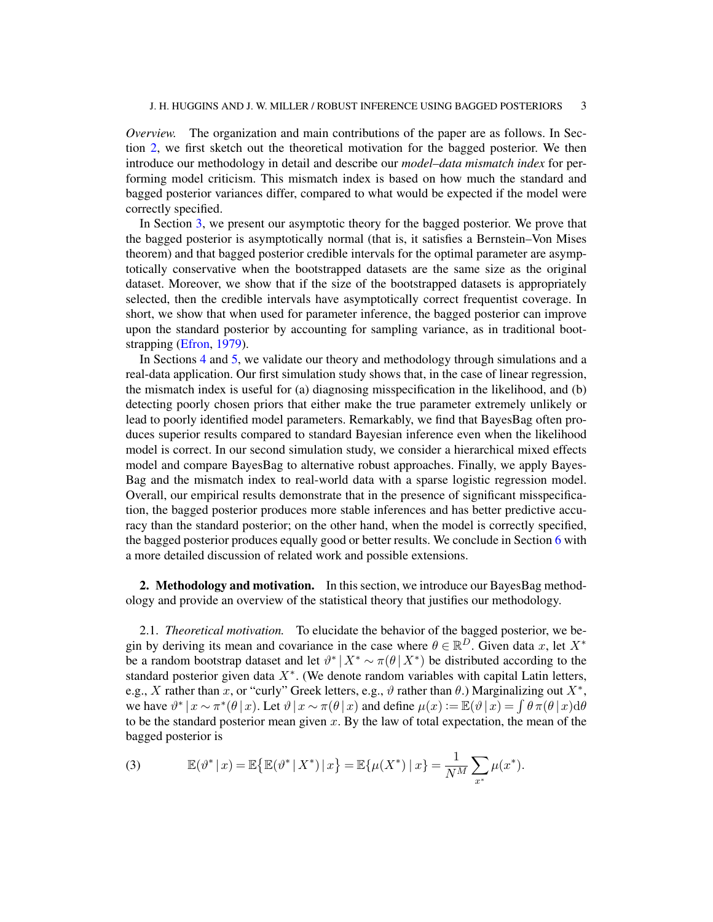*Overview.* The organization and main contributions of the paper are as follows. In Section [2,](#page-2-0) we first sketch out the theoretical motivation for the bagged posterior. We then introduce our methodology in detail and describe our *model–data mismatch index* for performing model criticism. This mismatch index is based on how much the standard and bagged posterior variances differ, compared to what would be expected if the model were correctly specified.

In Section [3,](#page-7-0) we present our asymptotic theory for the bagged posterior. We prove that the bagged posterior is asymptotically normal (that is, it satisfies a Bernstein–Von Mises theorem) and that bagged posterior credible intervals for the optimal parameter are asymptotically conservative when the bootstrapped datasets are the same size as the original dataset. Moreover, we show that if the size of the bootstrapped datasets is appropriately selected, then the credible intervals have asymptotically correct frequentist coverage. In short, we show that when used for parameter inference, the bagged posterior can improve upon the standard posterior by accounting for sampling variance, as in traditional bootstrapping [\(Efron,](#page-22-4) [1979\)](#page-22-4).

In Sections [4](#page-10-0) and [5,](#page-16-0) we validate our theory and methodology through simulations and a real-data application. Our first simulation study shows that, in the case of linear regression, the mismatch index is useful for (a) diagnosing misspecification in the likelihood, and (b) detecting poorly chosen priors that either make the true parameter extremely unlikely or lead to poorly identified model parameters. Remarkably, we find that BayesBag often produces superior results compared to standard Bayesian inference even when the likelihood model is correct. In our second simulation study, we consider a hierarchical mixed effects model and compare BayesBag to alternative robust approaches. Finally, we apply Bayes-Bag and the mismatch index to real-world data with a sparse logistic regression model. Overall, our empirical results demonstrate that in the presence of significant misspecification, the bagged posterior produces more stable inferences and has better predictive accuracy than the standard posterior; on the other hand, when the model is correctly specified, the bagged posterior produces equally good or better results. We conclude in Section [6](#page-17-0) with a more detailed discussion of related work and possible extensions.

<span id="page-2-0"></span>2. Methodology and motivation. In this section, we introduce our Bayes Bag methodology and provide an overview of the statistical theory that justifies our methodology.

<span id="page-2-2"></span>2.1. *Theoretical motivation.* To elucidate the behavior of the bagged posterior, we begin by deriving its mean and covariance in the case where  $\theta \in \mathbb{R}^D$ . Given data x, let  $X^*$ be a random bootstrap dataset and let  $\vartheta^* | X^* \sim \pi(\theta | X^*)$  be distributed according to the standard posterior given data  $X^*$ . (We denote random variables with capital Latin letters, e.g., X rather than x, or "curly" Greek letters, e.g.,  $\vartheta$  rather than  $\theta$ .) Marginalizing out  $X^*$ , we have  $\vartheta^* | x \sim \pi^* (\theta | x)$ . Let  $\vartheta | x \sim \pi (\theta | x)$  and define  $\mu(x) := \mathbb{E}(\vartheta | x) = \int \theta \pi (\theta | x) d\theta$ to be the standard posterior mean given  $x$ . By the law of total expectation, the mean of the bagged posterior is

<span id="page-2-1"></span>(3) 
$$
\mathbb{E}(\vartheta^* | x) = \mathbb{E}\{\mathbb{E}(\vartheta^* | X^*) | x\} = \mathbb{E}\{\mu(X^*) | x\} = \frac{1}{N^M} \sum_{x^*} \mu(x^*).
$$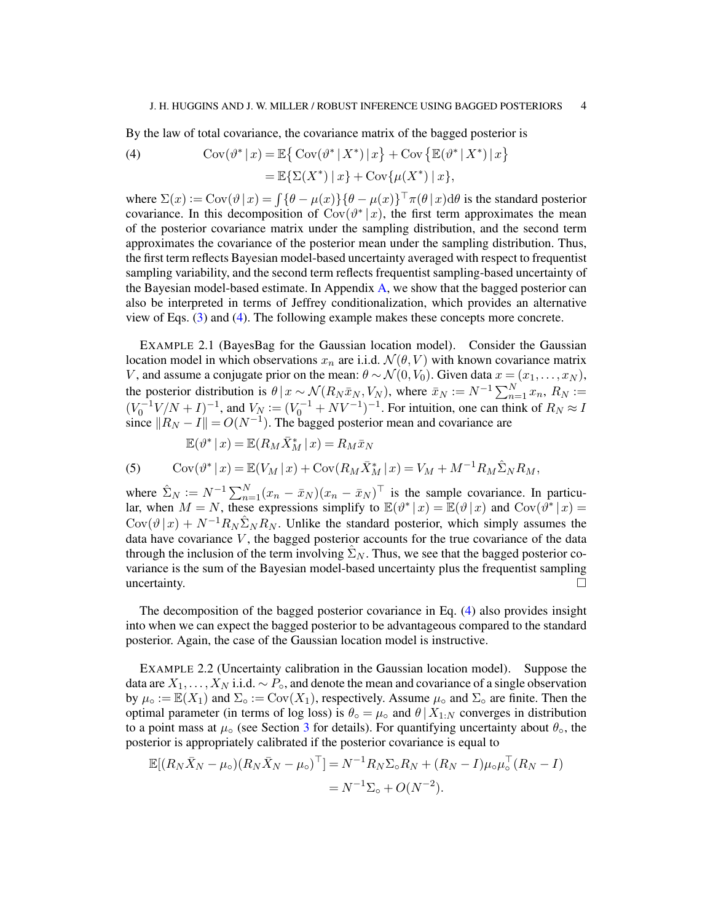<span id="page-3-0"></span>By the law of total covariance, the covariance matrix of the bagged posterior is

(4) 
$$
\operatorname{Cov}(\vartheta^* | x) = \mathbb{E} \big\{ \operatorname{Cov}(\vartheta^* | X^*) | x \big\} + \operatorname{Cov} \big\{ \mathbb{E}(\vartheta^* | X^*) | x \big\} = \mathbb{E} \{ \Sigma(X^*) | x \} + \operatorname{Cov} \{ \mu(X^*) | x \},
$$

where  $\Sigma(x) := \text{Cov}(\vartheta | x) = \int {\{\theta - \mu(x)\}} {\{\theta - \mu(x)\}}^{\top} \pi(\theta | x) d\theta$  is the standard posterior covariance. In this decomposition of  $Cov(\vartheta^* | x)$ , the first term approximates the mean of the posterior covariance matrix under the sampling distribution, and the second term approximates the covariance of the posterior mean under the sampling distribution. Thus, the first term reflects Bayesian model-based uncertainty averaged with respect to frequentist sampling variability, and the second term reflects frequentist sampling-based uncertainty of the Bayesian model-based estimate. In Appendix [A,](#page-24-0) we show that the bagged posterior can also be interpreted in terms of Jeffrey conditionalization, which provides an alternative view of Eqs. [\(3\)](#page-2-1) and [\(4\)](#page-3-0). The following example makes these concepts more concrete.

<span id="page-3-1"></span>EXAMPLE 2.1 (BayesBag for the Gaussian location model). Consider the Gaussian location model in which observations  $x_n$  are i.i.d.  $\mathcal{N}(\theta, V)$  with known covariance matrix V, and assume a conjugate prior on the mean:  $\theta \sim \mathcal{N}(0, V_0)$ . Given data  $x = (x_1, \dots, x_N)$ , the posterior distribution is  $\theta | x \sim \mathcal{N}(R_N \bar{x}_N, V_N)$ , where  $\bar{x}_N \coloneqq N^{-1} \sum_{n=1}^N x_n$ ,  $R_N \coloneqq$  $(V_0^{-1}V/N + I)^{-1}$ , and  $V_N := (V_0^{-1} + NV^{-1})^{-1}$ . For intuition, one can think of  $R_N \approx I$ since  $||R_N - I|| = O(N^{-1})$ . The bagged posterior mean and covariance are

$$
\mathbb{E}(\vartheta^* | x) = \mathbb{E}(R_M \bar{X}_M^* | x) = R_M \bar{x}_N
$$

<span id="page-3-3"></span>(5) 
$$
Cov(\vartheta^* | x) = \mathbb{E}(V_M | x) + Cov(R_M \bar{X}_M^* | x) = V_M + M^{-1} R_M \hat{\Sigma}_N R_M,
$$

where  $\hat{\Sigma}_N := N^{-1} \sum_{n=1}^N (x_n - \bar{x}_N)(x_n - \bar{x}_N)^{\top}$  is the sample covariance. In particular, when  $M = N$ , these expressions simplify to  $\mathbb{E}(\vartheta^* | x) = \mathbb{E}(\vartheta | x)$  and  $Cov(\vartheta^* | x) =$  $Cov(\vartheta | x) + N^{-1}R_N \hat{\Sigma}_N R_N$ . Unlike the standard posterior, which simply assumes the data have covariance  $V$ , the bagged posterior accounts for the true covariance of the data through the inclusion of the term involving  $\Sigma_N$ . Thus, we see that the bagged posterior covariance is the sum of the Bayesian model-based uncertainty plus the frequentist sampling uncertainty.  $\Box$ 

The decomposition of the bagged posterior covariance in Eq. [\(4\)](#page-3-0) also provides insight into when we can expect the bagged posterior to be advantageous compared to the standard posterior. Again, the case of the Gaussian location model is instructive.

<span id="page-3-2"></span>EXAMPLE 2.2 (Uncertainty calibration in the Gaussian location model). Suppose the data are  $X_1, \ldots, X_N$  i.i.d.  $\sim P_{\rm o}$ , and denote the mean and covariance of a single observation by  $\mu_{\circ} := \mathbb{E}(X_1)$  and  $\Sigma_{\circ} := \text{Cov}(X_1)$ , respectively. Assume  $\mu_{\circ}$  and  $\Sigma_{\circ}$  are finite. Then the optimal parameter (in terms of log loss) is  $\theta_{\circ} = \mu_{\circ}$  and  $\theta | X_{1:N}$  converges in distribution to a point mass at  $\mu_{\circ}$  (see Section [3](#page-7-0) for details). For quantifying uncertainty about  $\theta_{\circ}$ , the posterior is appropriately calibrated if the posterior covariance is equal to

$$
\mathbb{E}[(R_N\bar{X}_N - \mu_0)(R_N\bar{X}_N - \mu_0)^{\top}] = N^{-1}R_N\Sigma_0R_N + (R_N - I)\mu_0\mu_0^{\top}(R_N - I)
$$
  
=  $N^{-1}\Sigma_0 + O(N^{-2}).$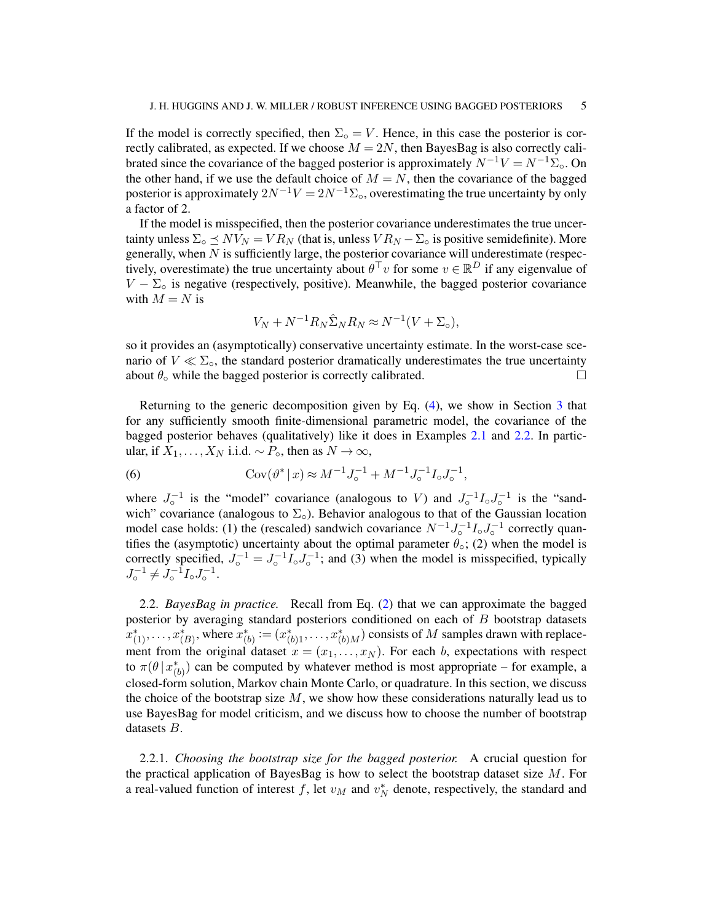If the model is correctly specified, then  $\Sigma_{\text{o}} = V$ . Hence, in this case the posterior is correctly calibrated, as expected. If we choose  $M = 2N$ , then BayesBag is also correctly calibrated since the covariance of the bagged posterior is approximately  $N^{-1}V = N^{-1}\Sigma_{\rm o}$ . On the other hand, if we use the default choice of  $M = N$ , then the covariance of the bagged posterior is approximately  $2N^{-1}V = 2N^{-1}\Sigma_0$ , overestimating the true uncertainty by only a factor of 2.

If the model is misspecified, then the posterior covariance underestimates the true uncertainty unless  $\Sigma_{\text{o}} \preceq NV_N = VR_N$  (that is, unless  $VR_N - \Sigma_{\text{o}}$  is positive semidefinite). More generally, when  $N$  is sufficiently large, the posterior covariance will underestimate (respectively, overestimate) the true uncertainty about  $\theta^{\top}v$  for some  $v \in \mathbb{R}^D$  if any eigenvalue of  $V - \Sigma_0$  is negative (respectively, positive). Meanwhile, the bagged posterior covariance with  $M = N$  is

$$
V_N + N^{-1} R_N \hat{\Sigma}_N R_N \approx N^{-1} (V + \Sigma_0),
$$

so it provides an (asymptotically) conservative uncertainty estimate. In the worst-case scenario of  $V \ll \Sigma$ <sub>o</sub>, the standard posterior dramatically underestimates the true uncertainty about  $\theta_{\circ}$  while the bagged posterior is correctly calibrated.  $\Box$ 

Returning to the generic decomposition given by Eq. [\(4\)](#page-3-0), we show in Section [3](#page-7-0) that for any sufficiently smooth finite-dimensional parametric model, the covariance of the bagged posterior behaves (qualitatively) like it does in Examples [2.1](#page-3-1) and [2.2.](#page-3-2) In particular, if  $X_1, \ldots, X_N$  i.i.d.  $\sim P_{\circ}$ , then as  $N \to \infty$ ,

<span id="page-4-0"></span>(6) 
$$
Cov(\vartheta^* | x) \approx M^{-1} J_o^{-1} + M^{-1} J_o^{-1} I_o J_o^{-1},
$$

where  $J_{\circ}^{-1}$  is the "model" covariance (analogous to V) and  $J_{\circ}^{-1}I_{\circ}J_{\circ}^{-1}$  is the "sandwich" covariance (analogous to  $\Sigma_{\circ}$ ). Behavior analogous to that of the Gaussian location model case holds: (1) the (rescaled) sandwich covariance  $N^{-1}J_{\circ}^{-1}I_{\circ}J_{\circ}^{-1}$  correctly quantifies the (asymptotic) uncertainty about the optimal parameter  $\theta_{\rm o}$ ; (2) when the model is correctly specified,  $J_0^{-1} = J_0^{-1} I_0 J_0^{-1}$ ; and (3) when the model is misspecified, typically  $J_{\circ}^{-1} \neq J_{\circ}^{-1} I_{\circ} J_{\circ}^{-1}.$ 

2.2. *BayesBag in practice.* Recall from Eq. [\(2\)](#page-1-0) that we can approximate the bagged posterior by averaging standard posteriors conditioned on each of B bootstrap datasets  $(x_{(1)}^*, \ldots, x_{(B)}^*)$ , where  $x_{(b)}^* := (x_{(b)1}^*, \ldots, x_{(b)M}^*)$  consists of  $M$  samples drawn with replacement from the original dataset  $x = (x_1, \ldots, x_N)$ . For each b, expectations with respect to  $\pi(\theta | x_{(b)}^*)$  can be computed by whatever method is most appropriate – for example, a closed-form solution, Markov chain Monte Carlo, or quadrature. In this section, we discuss the choice of the bootstrap size  $M$ , we show how these considerations naturally lead us to use BayesBag for model criticism, and we discuss how to choose the number of bootstrap datasets B.

<span id="page-4-1"></span>2.2.1. *Choosing the bootstrap size for the bagged posterior.* A crucial question for the practical application of BayesBag is how to select the bootstrap dataset size  $M$ . For a real-valued function of interest f, let  $v_M$  and  $v_N^*$  denote, respectively, the standard and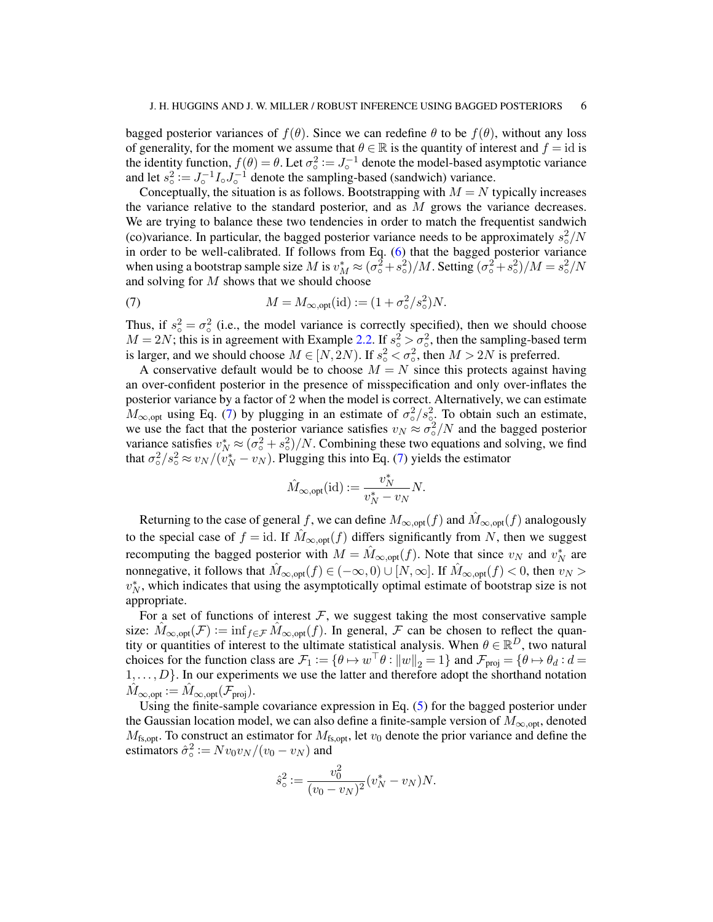bagged posterior variances of  $f(\theta)$ . Since we can redefine  $\theta$  to be  $f(\theta)$ , without any loss of generality, for the moment we assume that  $\theta \in \mathbb{R}$  is the quantity of interest and  $f = id$  is the identity function,  $f(\theta) = \theta$ . Let  $\sigma_o^2 := J_o^{-1}$  denote the model-based asymptotic variance and let  $s_0^2 := J_0^{-1} I_0 J_0^{-1}$  denote the sampling-based (sandwich) variance.

Conceptually, the situation is as follows. Bootstrapping with  $M = N$  typically increases the variance relative to the standard posterior, and as  $M$  grows the variance decreases. We are trying to balance these two tendencies in order to match the frequentist sandwich (co)variance. In particular, the bagged posterior variance needs to be approximately  $s_o^2/N$ in order to be well-calibrated. If follows from Eq. [\(6\)](#page-4-0) that the bagged posterior variance when using a bootstrap sample size M is  $v_M^* \approx (\sigma_0^2 + s_0^2)/M$ . Setting  $(\sigma_0^2 + s_0^2)/M = s_0^2/N$ and solving for  $M$  shows that we should choose

<span id="page-5-0"></span>(7) 
$$
M = M_{\infty, \text{opt}}(\text{id}) := (1 + \sigma_o^2 / s_o^2) N.
$$

Thus, if  $s_0^2 = \sigma_0^2$  (i.e., the model variance is correctly specified), then we should choose  $M = 2N$ ; this is in agreement with Example [2.2.](#page-3-2) If  $s_0^2 > \sigma_0^2$ , then the sampling-based term is larger, and we should choose  $M \in [N, 2N)$ . If  $s^2 \leq \sigma^2$ , then  $M > 2N$  is preferred.

A conservative default would be to choose  $M = N$  since this protects against having an over-confident posterior in the presence of misspecification and only over-inflates the posterior variance by a factor of 2 when the model is correct. Alternatively, we can estimate  $M_{\infty, \text{opt}}$  using Eq. [\(7\)](#page-5-0) by plugging in an estimate of  $\sigma_0^2/s_{\text{opt}}^2$ . To obtain such an estimate, we use the fact that the posterior variance satisfies  $v_N \approx \sigma_o^2/N$  and the bagged posterior variance satisfies  $v_N^* \approx (\sigma_o^2 + s_o^2)/N$ . Combining these two equations and solving, we find that  $\sigma_o^2/s_o^2 \approx v_N/(v_N^* - v_N)$ . Plugging this into Eq. [\(7\)](#page-5-0) yields the estimator

$$
\hat{M}_{\infty, \text{opt}}(\text{id}) := \frac{v_N^*}{v_N^* - v_N} N.
$$

Returning to the case of general f, we can define  $M_{\infty, opt}(f)$  and  $M_{\infty, opt}(f)$  analogously to the special case of  $f = id$ . If  $M_{\infty, opt}(f)$  differs significantly from N, then we suggest recomputing the bagged posterior with  $M = \hat{M}_{\infty, \text{opt}}(f)$ . Note that since  $v_N$  and  $v_N^*$  are nonnegative, it follows that  $\hat{M}_{\infty, \text{opt}}(f) \in (-\infty, 0) \cup [N, \infty]$ . If  $\hat{M}_{\infty, \text{opt}}(f) < 0$ , then  $v_N > 0$  $v_N^*$ , which indicates that using the asymptotically optimal estimate of bootstrap size is not appropriate.

For a set of functions of interest  $F$ , we suggest taking the most conservative sample size:  $M_{\infty, \text{opt}}(\mathcal{F}) := \inf_{f \in \mathcal{F}} M_{\infty, \text{opt}}(f)$ . In general,  $\mathcal F$  can be chosen to reflect the quantity or quantities of interest to the ultimate statistical analysis. When  $\theta \in \mathbb{R}^D$ , two natural choices for the function class are  $\mathcal{F}_1 := \{ \theta \mapsto w^\top \theta : ||w||_2 = 1 \}$  and  $\mathcal{F}_{proj} = \{ \theta \mapsto \theta_d : d = 1 \}$  $1, \ldots, D$ . In our experiments we use the latter and therefore adopt the shorthand notation  $M_{\infty, \text{opt}} := M_{\infty, \text{opt}}(\mathcal{F}_{\text{proj}}).$ 

Using the finite-sample covariance expression in Eq. [\(5\)](#page-3-3) for the bagged posterior under the Gaussian location model, we can also define a finite-sample version of  $M_{\infty, \text{opt}}$ , denoted  $M_{\text{fs,opt}}$ . To construct an estimator for  $M_{\text{fs,opt}}$ , let  $v_0$  denote the prior variance and define the estimators  $\hat{\sigma}_{\circ}^2 := Nv_0v_N/(v_0 - v_N)$  and

$$
\hat{s}_{\circ}^{2} := \frac{v_{0}^{2}}{(v_{0} - v_{N})^{2}} (v_{N}^{*} - v_{N}) N.
$$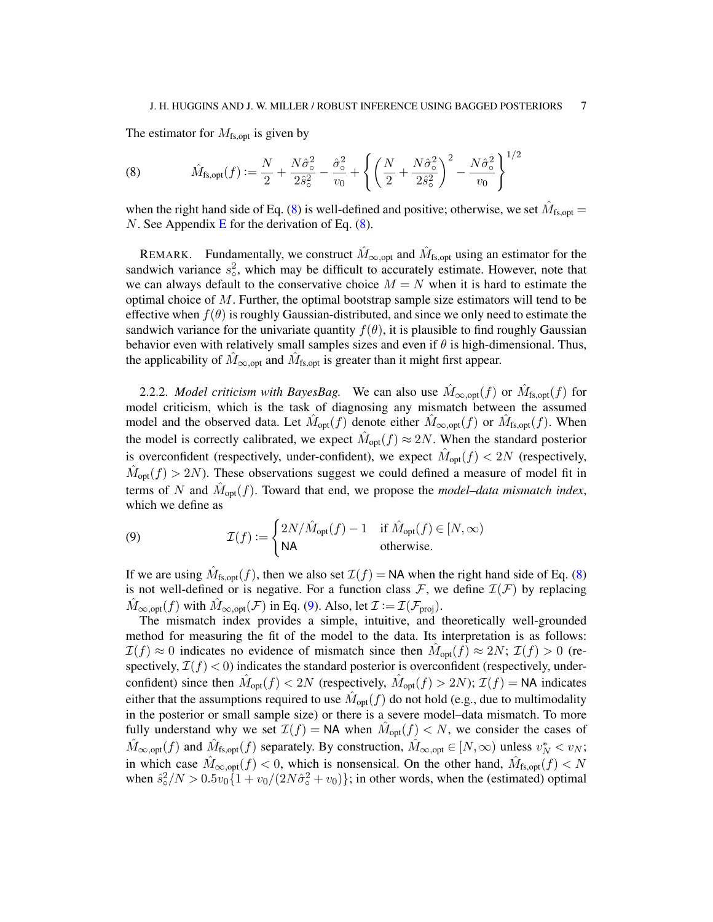The estimator for  $M_{fs, opt}$  is given by

<span id="page-6-0"></span>(8) 
$$
\hat{M}_{\text{fs},\text{opt}}(f) := \frac{N}{2} + \frac{N\hat{\sigma}_{\text{o}}^2}{2\hat{s}_{\text{o}}^2} - \frac{\hat{\sigma}_{\text{o}}^2}{v_0} + \left\{ \left( \frac{N}{2} + \frac{N\hat{\sigma}_{\text{o}}^2}{2\hat{s}_{\text{o}}^2} \right)^2 - \frac{N\hat{\sigma}_{\text{o}}^2}{v_0} \right\}^{1/2}
$$

when the right hand side of Eq. [\(8\)](#page-6-0) is well-defined and positive; otherwise, we set  $\hat{M}_{\text{fs},\text{opt}} =$ N. See Appendix [E](#page-29-0) for the derivation of Eq.  $(8)$ .

REMARK. Fundamentally, we construct  $\hat{M}_{\infty, \text{opt}}$  and  $\hat{M}_{\text{fs}, \text{opt}}$  using an estimator for the sandwich variance  $s_0^2$ , which may be difficult to accurately estimate. However, note that we can always default to the conservative choice  $M = N$  when it is hard to estimate the optimal choice of  $M$ . Further, the optimal bootstrap sample size estimators will tend to be effective when  $f(\theta)$  is roughly Gaussian-distributed, and since we only need to estimate the sandwich variance for the univariate quantity  $f(\theta)$ , it is plausible to find roughly Gaussian behavior even with relatively small samples sizes and even if  $\theta$  is high-dimensional. Thus, the applicability of  $\hat{M}_{\infty, \text{opt}}$  and  $\hat{M}_{\text{fs}, \text{opt}}$  is greater than it might first appear.

2.2.2. *Model criticism with BayesBag*. We can also use  $\hat{M}_{\infty, opt}(f)$  or  $\hat{M}_{fs, opt}(f)$  for model criticism, which is the task of diagnosing any mismatch between the assumed model and the observed data. Let  $\hat{M}_{\text{opt}}(f)$  denote either  $\hat{M}_{\infty,\text{opt}}(f)$  or  $\hat{M}_{\text{fs},\text{opt}}(f)$ . When the model is correctly calibrated, we expect  $\hat{M}_{opt}(f) \approx 2N$ . When the standard posterior is overconfident (respectively, under-confident), we expect  $\hat{M}_{opt}(f) < 2N$  (respectively,  $\hat{M}_{opt}(f) > 2N$ ). These observations suggest we could defined a measure of model fit in terms of N and  $\hat{M}_{opt}(f)$ . Toward that end, we propose the *model–data mismatch index*, which we define as

<span id="page-6-1"></span>(9) 
$$
\mathcal{I}(f) := \begin{cases} 2N/\hat{M}_{\text{opt}}(f) - 1 & \text{if } \hat{M}_{\text{opt}}(f) \in [N, \infty) \\ \mathsf{NA} & \text{otherwise.} \end{cases}
$$

If we are using  $\hat{M}_{fs, opt}(f)$ , then we also set  $\mathcal{I}(f) = \textsf{NA}$  when the right hand side of Eq. [\(8\)](#page-6-0) is not well-defined or is negative. For a function class  $\mathcal{F}$ , we define  $\mathcal{I}(\mathcal{F})$  by replacing  $M_{\infty, \text{opt}}(f)$  with  $M_{\infty, \text{opt}}(\mathcal{F})$  in Eq. [\(9\)](#page-6-1). Also, let  $\mathcal{I} := \mathcal{I}(\mathcal{F}_{\text{proj}})$ .

The mismatch index provides a simple, intuitive, and theoretically well-grounded method for measuring the fit of the model to the data. Its interpretation is as follows:  $\mathcal{I}(f) \approx 0$  indicates no evidence of mismatch since then  $\hat{M}_{opt}(f) \approx 2N$ ;  $\mathcal{I}(f) > 0$  (respectively,  $\mathcal{I}(f) < 0$ ) indicates the standard posterior is overconfident (respectively, underconfident) since then  $\hat{M}_{opt}(f) < 2N$  (respectively,  $\hat{M}_{opt}(f) > 2N$ );  $\mathcal{I}(f) = \textsf{NA}$  indicates either that the assumptions required to use  $\hat{M}_{\text{opt}}(f)$  do not hold (e.g., due to multimodality in the posterior or small sample size) or there is a severe model–data mismatch. To more fully understand why we set  $\mathcal{I}(f) = \mathsf{NA}$  when  $\hat{M}_{\text{opt}}(f) < N$ , we consider the cases of  $\hat{M}_{\infty, \text{opt}}(f)$  and  $\hat{M}_{\text{fs}, \text{opt}}(f)$  separately. By construction,  $\hat{M}_{\infty, \text{opt}} \in [N, \infty)$  unless  $v_N^* < v_N$ ; in which case  $\hat{M}_{\infty, \text{opt}}(f) < 0$ , which is nonsensical. On the other hand,  $\hat{M}_{fs, \text{opt}}(f) < N$ when  $\hat{s}^2 \le N > 0.5v_0 \{1 + v_0/(2N\hat{\sigma}^2 + v_0)\}\;$ ; in other words, when the (estimated) optimal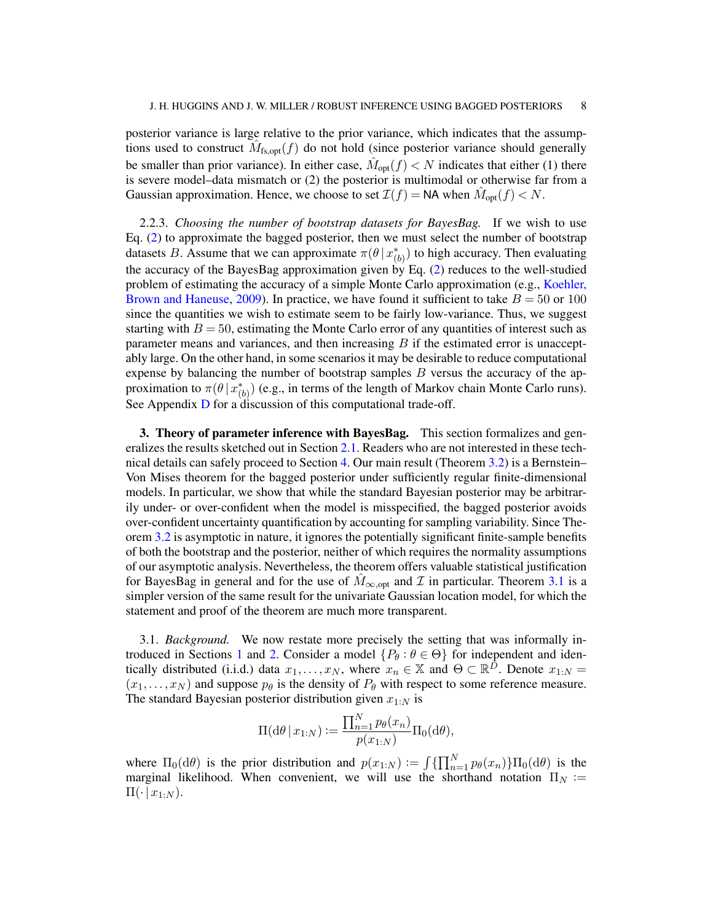posterior variance is large relative to the prior variance, which indicates that the assumptions used to construct  $\hat{M}_{fs, opt}(f)$  do not hold (since posterior variance should generally be smaller than prior variance). In either case,  $\hat{M}_{opt}(f) < N$  indicates that either (1) there is severe model–data mismatch or (2) the posterior is multimodal or otherwise far from a Gaussian approximation. Hence, we choose to set  $\mathcal{I}(f) = \textsf{NA}$  when  $\hat{M}_{opt}(f) < N$ .

<span id="page-7-1"></span>2.2.3. *Choosing the number of bootstrap datasets for BayesBag.* If we wish to use Eq. [\(2\)](#page-1-0) to approximate the bagged posterior, then we must select the number of bootstrap datasets B. Assume that we can approximate  $\pi(\theta | x_{(b)}^*)$  to high accuracy. Then evaluating the accuracy of the BayesBag approximation given by Eq.  $(2)$  reduces to the well-studied problem of estimating the accuracy of a simple Monte Carlo approximation (e.g., [Koehler,](#page-22-5) [Brown and Haneuse,](#page-22-5) [2009\)](#page-22-5). In practice, we have found it sufficient to take  $B = 50$  or 100 since the quantities we wish to estimate seem to be fairly low-variance. Thus, we suggest starting with  $B = 50$ , estimating the Monte Carlo error of any quantities of interest such as parameter means and variances, and then increasing  $B$  if the estimated error is unacceptably large. On the other hand, in some scenarios it may be desirable to reduce computational expense by balancing the number of bootstrap samples  $B$  versus the accuracy of the approximation to  $\pi(\theta | x_{(b)}^*)$  (e.g., in terms of the length of Markov chain Monte Carlo runs). See Appendix [D](#page-28-0) for a discussion of this computational trade-off.

<span id="page-7-0"></span>**3. Theory of parameter inference with BayesBag.** This section formalizes and generalizes the results sketched out in Section [2.1.](#page-2-2) Readers who are not interested in these technical details can safely proceed to Section [4.](#page-10-0) Our main result (Theorem [3.2\)](#page-9-0) is a Bernstein– Von Mises theorem for the bagged posterior under sufficiently regular finite-dimensional models. In particular, we show that while the standard Bayesian posterior may be arbitrarily under- or over-confident when the model is misspecified, the bagged posterior avoids over-confident uncertainty quantification by accounting for sampling variability. Since Theorem [3.2](#page-9-0) is asymptotic in nature, it ignores the potentially significant finite-sample benefits of both the bootstrap and the posterior, neither of which requires the normality assumptions of our asymptotic analysis. Nevertheless, the theorem offers valuable statistical justification for BayesBag in general and for the use of  $M_{\infty, opt}$  and  $\mathcal I$  in particular. Theorem [3.1](#page-9-1) is a simpler version of the same result for the univariate Gaussian location model, for which the statement and proof of the theorem are much more transparent.

3.1. *Background.* We now restate more precisely the setting that was informally in-troduced in Sections [1](#page-0-2) and [2.](#page-2-0) Consider a model  $\{P_{\theta} : \theta \in \Theta\}$  for independent and identically distributed (i.i.d.) data  $x_1, \ldots, x_N$ , where  $x_n \in \mathbb{X}$  and  $\Theta \subset \mathbb{R}^{\hat{D}}$ . Denote  $x_{1:N} =$  $(x_1, \ldots, x_N)$  and suppose  $p_\theta$  is the density of  $P_\theta$  with respect to some reference measure. The standard Bayesian posterior distribution given  $x_{1:N}$  is

$$
\Pi(\mathrm{d}\theta\,|\,x_{1:N}) := \frac{\prod_{n=1}^{N} p_{\theta}(x_n)}{p(x_{1:N})} \Pi_0(\mathrm{d}\theta),
$$

where  $\Pi_0(\mathrm{d}\theta)$  is the prior distribution and  $p(x_{1:N}) := \int \{ \prod_{n=1}^N p_\theta(x_n) \} \Pi_0(\mathrm{d}\theta)$  is the marginal likelihood. When convenient, we will use the shorthand notation  $\Pi_N :=$  $\Pi(\cdot | x_{1:N}).$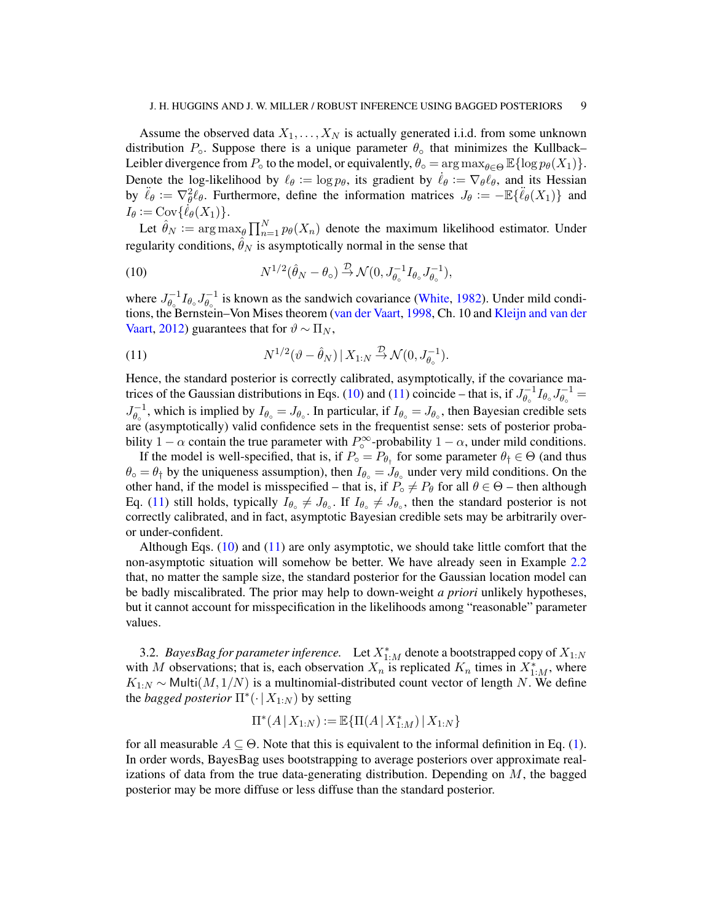Assume the observed data  $X_1, \ldots, X_N$  is actually generated i.i.d. from some unknown distribution  $P_0$ . Suppose there is a unique parameter  $\theta_0$  that minimizes the Kullback– Leibler divergence from  $P_{\circ}$  to the model, or equivalently,  $\theta_{\circ} = \arg \max_{\theta \in \Theta} \mathbb{E} \{ \log p_{\theta}(X_1) \}.$ Denote the log-likelihood by  $\ell_{\theta} := \log p_{\theta}$ , its gradient by  $\dot{\ell}_{\theta} := \nabla_{\theta} \ell_{\theta}$ , and its Hessian by  $\ddot{\ell}_{\theta} := \nabla_{\theta}^2 \ell_{\theta}$ . Furthermore, define the information matrices  $J_{\theta} := -\mathbb{E}\{\ddot{\ell}_{\theta}(X_1)\}\$  and  $I_{\theta} := \text{Cov}\{\dot{\ell}_{\theta}(X_1)\}.$ 

Let  $\hat{\theta}_N := \arg \max_{\theta} \prod_{n=1}^N p_{\theta}(X_n)$  denote the maximum likelihood estimator. Under regularity conditions,  $\hat{\theta}_N$  is asymptotically normal in the sense that

<span id="page-8-0"></span>(10) 
$$
N^{1/2}(\hat{\theta}_N - \theta_\circ) \xrightarrow{\mathcal{D}} \mathcal{N}(0, J_{\theta_\circ}^{-1} I_{\theta_\circ} J_{\theta_\circ}^{-1}),
$$

where  $J_{\theta}^{-1}$  $\overline{\theta_\circ}^{-1}I_{\theta_\circ}J_{\theta_\circ}^{-1}$  $\theta_{\circ}^{-1}$  is known as the sandwich covariance [\(White,](#page-23-2) [1982\)](#page-23-2). Under mild condi-tions, the Bernstein–Von Mises theorem [\(van der Vaart,](#page-23-3) [1998,](#page-23-3) Ch. 10 and [Kleijn and van der](#page-22-6) [Vaart,](#page-22-6) [2012\)](#page-22-6) guarantees that for  $\vartheta \sim \Pi_N$ ,

<span id="page-8-1"></span>(11) 
$$
N^{1/2}(\vartheta - \hat{\theta}_N) | X_{1:N} \stackrel{\mathcal{D}}{\rightarrow} \mathcal{N}(0, J_{\theta_0}^{-1}).
$$

Hence, the standard posterior is correctly calibrated, asymptotically, if the covariance ma-trices of the Gaussian distributions in Eqs. [\(10\)](#page-8-0) and [\(11\)](#page-8-1) coincide – that is, if  $J_{\theta_{\perp}}^{-1}$  $\overline{\theta_\circ}^{-1}I_{\theta_\circ}J_{\theta_\circ}^{-1}$  $\overset{_{\rightharpoonup }}{\theta_{\circ }}^{_{\rightharpoonup }}=% \frac{\text{ }\qquad \tau _{\varepsilon }}{^{^{2}}}\text{ }=\text{ }^{_{\rightharpoonup }}% \begin{array} [c]{c} \text{ }\\{\text{ }}\\[-10pt] \frac{\text{ }}{2} \end{array}$  $J_{\theta}^{-1}$  $\theta_o^{-1}$ , which is implied by  $I_{\theta_o} = J_{\theta_o}$ . In particular, if  $I_{\theta_o} = J_{\theta_o}$ , then Bayesian credible sets are (asymptotically) valid confidence sets in the frequentist sense: sets of posterior probability 1 –  $\alpha$  contain the true parameter with  $P_{\circ}^{\infty}$ -probability 1 –  $\alpha$ , under mild conditions.

If the model is well-specified, that is, if  $P_{\circ} = P_{\theta_{\dagger}}$  for some parameter  $\theta_{\dagger} \in \Theta$  (and thus  $\theta_{\circ} = \theta_{\dagger}$  by the uniqueness assumption), then  $I_{\theta_{\circ}} = J_{\theta_{\circ}}$  under very mild conditions. On the other hand, if the model is misspecified – that is, if  $P_\circ \neq P_\theta$  for all  $\theta \in \Theta$  – then although Eq. [\(11\)](#page-8-1) still holds, typically  $I_{\theta \circ} \neq J_{\theta \circ}$ . If  $I_{\theta \circ} \neq J_{\theta \circ}$ , then the standard posterior is not correctly calibrated, and in fact, asymptotic Bayesian credible sets may be arbitrarily overor under-confident.

Although Eqs.  $(10)$  and  $(11)$  are only asymptotic, we should take little comfort that the non-asymptotic situation will somehow be better. We have already seen in Example [2.2](#page-3-2) that, no matter the sample size, the standard posterior for the Gaussian location model can be badly miscalibrated. The prior may help to down-weight *a priori* unlikely hypotheses, but it cannot account for misspecification in the likelihoods among "reasonable" parameter values.

3.2. *BayesBag for parameter inference*. Let  $X^*_{1:M}$  denote a bootstrapped copy of  $X_{1:N}$ with M observations; that is, each observation  $X_n$  is replicated  $K_n$  times in  $X_{1:M}^*$ , where  $K_{1:N}$  ∼ Multi $(M, 1/N)$  is a multinomial-distributed count vector of length N. We define the *bagged posterior*  $\Pi^*(\cdot | X_{1:N})$  by setting

$$
\Pi^*(A \,|\, X_{1:N}) := \mathbb{E}\{\Pi(A \,|\, X_{1:N}^*) \,|\, X_{1:N}\}
$$

for all measurable  $A \subseteq \Theta$ . Note that this is equivalent to the informal definition in Eq. [\(1\)](#page-1-1). In order words, BayesBag uses bootstrapping to average posteriors over approximate realizations of data from the true data-generating distribution. Depending on  $M$ , the bagged posterior may be more diffuse or less diffuse than the standard posterior.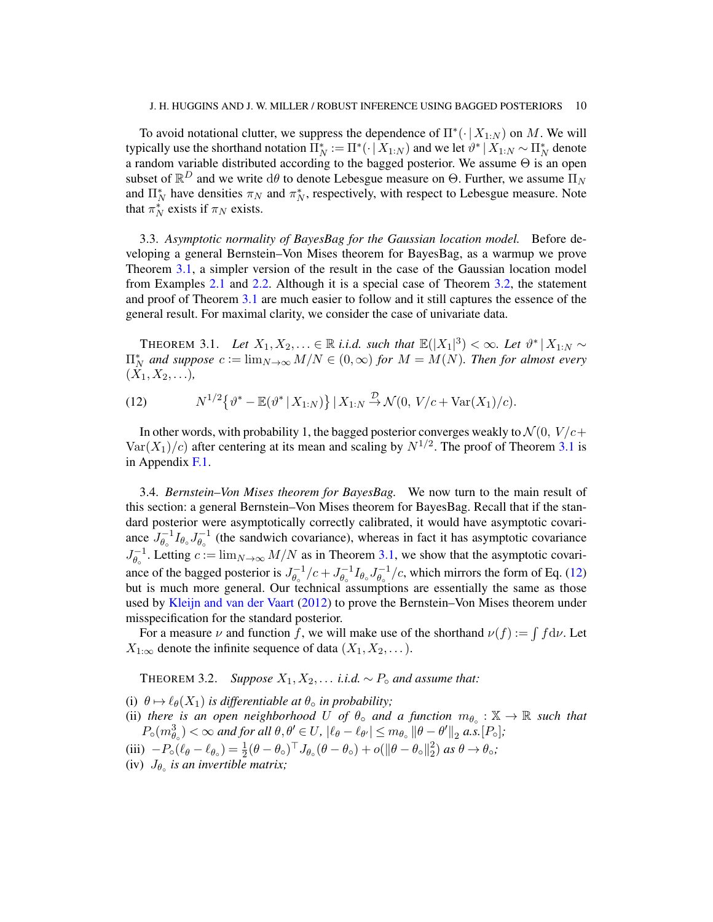To avoid notational clutter, we suppress the dependence of  $\Pi^*(\cdot | X_{1:N})$  on M. We will typically use the shorthand notation  $\overline{\Pi}_N^* := \Pi^*(\cdot \,|\, X_{1:N})$  and we let  $\vartheta^* \,|\, X_{1:N} \sim \Pi_N^*$  denote a random variable distributed according to the bagged posterior. We assume  $\Theta$  is an open subset of  $\mathbb{R}^D$  and we write  $d\theta$  to denote Lebesgue measure on  $\Theta$ . Further, we assume  $\Pi_N$ and  $\Pi_N^*$  have densities  $\pi_N$  and  $\pi_N^*$ , respectively, with respect to Lebesgue measure. Note that  $\pi_N^*$  exists if  $\pi_N$  exists.

3.3. *Asymptotic normality of BayesBag for the Gaussian location model.* Before developing a general Bernstein–Von Mises theorem for BayesBag, as a warmup we prove Theorem [3.1,](#page-9-1) a simpler version of the result in the case of the Gaussian location model from Examples [2.1](#page-3-1) and [2.2.](#page-3-2) Although it is a special case of Theorem [3.2,](#page-9-0) the statement and proof of Theorem [3.1](#page-9-1) are much easier to follow and it still captures the essence of the general result. For maximal clarity, we consider the case of univariate data.

<span id="page-9-1"></span>THEOREM 3.1. Let  $X_1, X_2, \ldots \in \mathbb{R}$  *i.i.d.* such that  $\mathbb{E}(|X_1|^3) < \infty$ . Let  $\vartheta^* | X_{1:N} \sim$  $\Pi_N^*$  and suppose  $c := \lim_{N \to \infty} M/N \in (0, \infty)$  for  $M = M(N)$ . Then for almost every  $(X_1, X_2, \ldots),$ 

<span id="page-9-2"></span>(12) 
$$
N^{1/2}\left\{\theta^* - \mathbb{E}(\theta^* | X_{1:N})\right\} | X_{1:N} \stackrel{\mathcal{D}}{\to} \mathcal{N}(0, V/c + \text{Var}(X_1)/c).
$$

In other words, with probability 1, the bagged posterior converges weakly to  $\mathcal{N}(0, V/c+)$  $Var(X_1)/c$ ) after centering at its mean and scaling by  $N^{1/2}$ . The proof of Theorem [3.1](#page-9-1) is in Appendix [F.1.](#page-29-1)

3.4. *Bernstein–Von Mises theorem for BayesBag.* We now turn to the main result of this section: a general Bernstein–Von Mises theorem for BayesBag. Recall that if the standard posterior were asymptotically correctly calibrated, it would have asymptotic covariance  $J_{\theta}^{-1}$  $\int_{\theta_\circ}^{-1} I_{\theta_\circ} J_{\theta_\circ}^{-1}$  $\theta_{\theta}^{-1}$  (the sandwich covariance), whereas in fact it has asymptotic covariance  $J^{-1}_{\theta}$  $\theta_o^{-1}$ . Letting  $c := \lim_{N \to \infty} M/N$  as in Theorem [3.1,](#page-9-1) we show that the asymptotic covariance of the bagged posterior is  $J_{\theta}^{-1}$  $J_{\theta_{\circ}}^{-1}/c + J_{\theta_{\circ}}^{-1}$  $\overline{\theta_\circ}^{-1}I_{\theta_\circ}J_{\theta_\circ}^{-1}$  $\theta_{\rm e}^{-1}/c$ , which mirrors the form of Eq. [\(12\)](#page-9-2) but is much more general. Our technical assumptions are essentially the same as those used by [Kleijn and van der Vaart](#page-22-6) [\(2012\)](#page-22-6) to prove the Bernstein–Von Mises theorem under misspecification for the standard posterior.

For a measure  $\nu$  and function f, we will make use of the shorthand  $\nu(f) := \int f d\nu$ . Let  $X_{1:\infty}$  denote the infinite sequence of data  $(X_1, X_2, \dots)$ .

<span id="page-9-0"></span>THEOREM 3.2. *Suppose*  $X_1, X_2, \ldots$  *i.i.d.*  $\sim P_{\circ}$  *and assume that:* 

(i)  $\theta \mapsto \ell_{\theta}(X_1)$  *is differentiable at*  $\theta_{\circ}$  *in probability*;

- (ii) there is an open neighborhood U of  $\theta_{\circ}$  and a function  $m_{\theta_{\circ}} : \mathbb{X} \to \mathbb{R}$  such that  $P_{\circ}(m_{\theta_{\circ}}^{3}) < \infty$  and for all  $\theta, \theta' \in U$ ,  $|\ell_{\theta} - \ell_{\theta'}| \leq m_{\theta_{\circ}} ||\theta - \theta'||_{2}$  a.s.  $[P_{\circ}]$ ;
- (iii)  $-P_{\circ}(\ell_{\theta}-\ell_{\theta_{\circ}}) = \frac{1}{2}(\theta-\theta_{\circ})^{\top} J_{\theta_{\circ}}(\theta-\theta_{\circ}) + o(\|\theta-\theta_{\circ}\|_{2}^{2})$  $\binom{2}{2}$  *as*  $\theta \rightarrow \theta_{\circ};$
- (iv)  $J_{\theta_o}$  *is an invertible matrix;*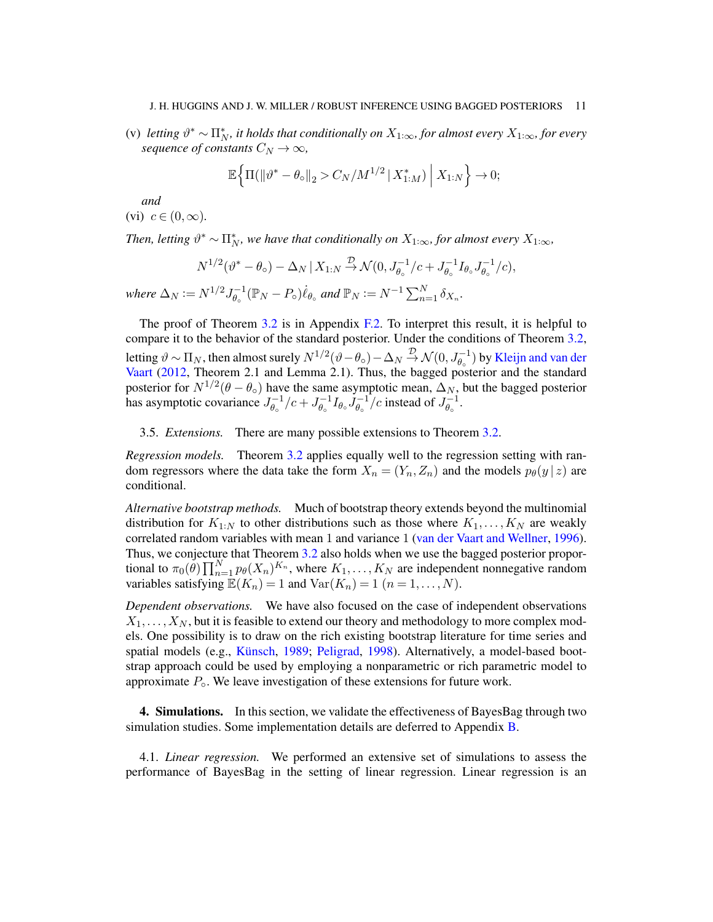(v) *letting*  $\vartheta^* \sim \prod_N^*$ , it holds that conditionally on  $X_{1:\infty}$ , for almost every  $X_{1:\infty}$ , for every *sequence of constants*  $C_N \to \infty$ *,* 

$$
\mathbb{E}\Big\{\Pi(\|\vartheta^* - \theta_{\circ}\|_2) < C_N/M^{1/2} \,|\, X_{1:M}^*\big) \Big| \, X_{1:N} \Big\} \to 0;
$$

*and*

(vi) 
$$
c \in (0, \infty)
$$
.

*Then, letting*  $\vartheta^* \sim \prod_N^*$ , we have that conditionally on  $X_{1:\infty}$ , for almost every  $X_{1:\infty}$ ,

$$
N^{1/2}(\vartheta^* - \theta_{\circ}) - \Delta_N | X_{1:N} \stackrel{\mathcal{D}}{\rightarrow} \mathcal{N}(0, J_{\theta_{\circ}}^{-1}/c + J_{\theta_{\circ}}^{-1} I_{\theta_{\circ}} J_{\theta_{\circ}}^{-1}/c),
$$

*where*  $\Delta_N := N^{1/2} J_{\theta_0}^{-1}$  $\theta_{\circ}^{-1}(\mathbb{P}_N - P_{\circ})\dot{\ell}_{\theta_{\circ}}$  and  $\mathbb{P}_N := N^{-1} \sum_{n=1}^N \delta_{X_n}$ .

The proof of Theorem [3.2](#page-9-0) is in Appendix [F.2.](#page-30-0) To interpret this result, it is helpful to compare it to the behavior of the standard posterior. Under the conditions of Theorem [3.2,](#page-9-0) letting  $\vartheta\sim\Pi_N$ , then almost surely  $N^{1/2}(\vartheta-\theta_\circ)-\Delta_N\stackrel{\mathcal{D}}{\to}\mathcal{N}(0,J_{\theta_\circ}^{-1})$  by [Kleijn and van der](#page-22-6) [Vaart](#page-22-6) [\(2012,](#page-22-6) Theorem 2.1 and Lemma 2.1). Thus, the bagged posterior and the standard posterior for  $N^{1/2}(\theta - \theta_0)$  have the same asymptotic mean,  $\Delta_N$ , but the bagged posterior has asymptotic covariance  $J_{\theta}^{-1}$  $J_{\theta_{\circ}}^{-1}/c + J_{\theta_{\circ}}^{-1}$  $\overset{-1}{\theta_\circ}I_{\theta_\circ} \overset{-1}{J_{\theta_\circ}^{-1}}$  $\frac{1}{\theta_{\circ}}$  /c instead of  $J_{\theta_{\circ}}^{-1}$  $\overline{\theta_\circ}^{1}$ .

3.5. *Extensions.* There are many possible extensions to Theorem [3.2.](#page-9-0)

*Regression models.* Theorem [3.2](#page-9-0) applies equally well to the regression setting with random regressors where the data take the form  $X_n = (Y_n, Z_n)$  and the models  $p_\theta(y \mid z)$  are conditional.

*Alternative bootstrap methods.* Much of bootstrap theory extends beyond the multinomial distribution for  $K_{1:N}$  to other distributions such as those where  $K_1, \ldots, K_N$  are weakly correlated random variables with mean 1 and variance 1 [\(van der Vaart and Wellner,](#page-23-4) [1996\)](#page-23-4). Thus, we conjecture that Theorem [3.2](#page-9-0) also holds when we use the bagged posterior proportional to  $\pi_0(\theta) \prod_{n=1}^N p_\theta(X_n)^{K_n}$ , where  $K_1, \ldots, K_N$  are independent nonnegative random variables satisfying  $\mathbb{E}(K_n) = 1$  and  $\text{Var}(K_n) = 1$   $(n = 1, ..., N)$ .

*Dependent observations.* We have also focused on the case of independent observations  $X_1, \ldots, X_N$ , but it is feasible to extend our theory and methodology to more complex models. One possibility is to draw on the rich existing bootstrap literature for time series and spatial models (e.g., [Künsch,](#page-22-7) [1989;](#page-22-7) [Peligrad,](#page-22-8) [1998\)](#page-22-8). Alternatively, a model-based bootstrap approach could be used by employing a nonparametric or rich parametric model to approximate  $P_{\circ}$ . We leave investigation of these extensions for future work.

<span id="page-10-0"></span>**4. Simulations.** In this section, we validate the effectiveness of Bayes Bag through two simulation studies. Some implementation details are deferred to Appendix [B.](#page-24-1)

4.1. *Linear regression.* We performed an extensive set of simulations to assess the performance of BayesBag in the setting of linear regression. Linear regression is an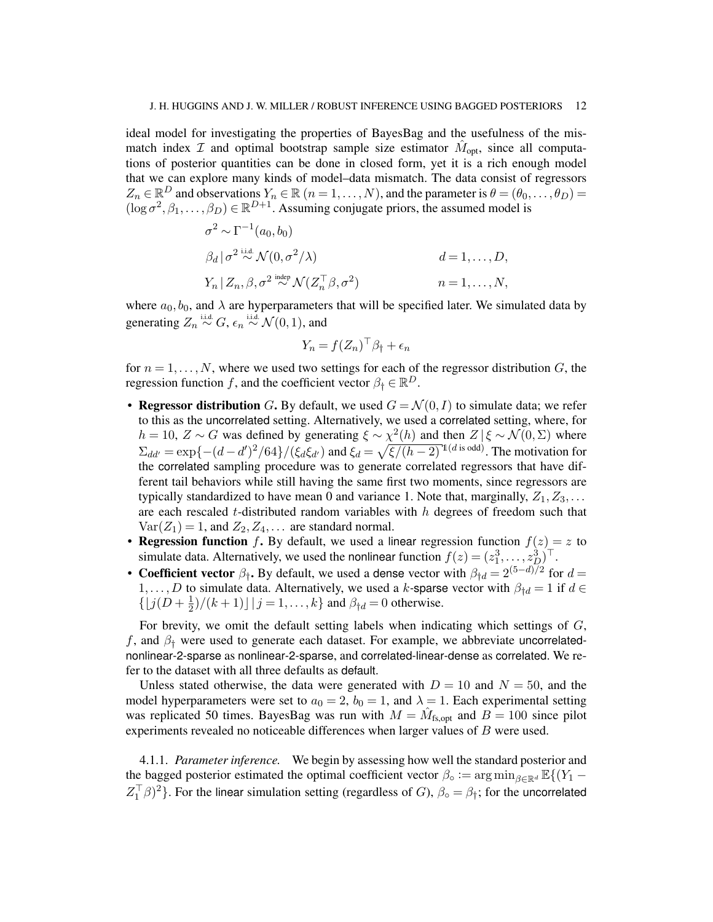ideal model for investigating the properties of BayesBag and the usefulness of the mismatch index  $\mathcal I$  and optimal bootstrap sample size estimator  $\hat M_{\text{opt}}$ , since all computations of posterior quantities can be done in closed form, yet it is a rich enough model that we can explore many kinds of model–data mismatch. The data consist of regressors  $Z_n \in \mathbb{R}^D$  and observations  $Y_n \in \mathbb{R}$   $(n = 1, \ldots, N)$ , and the parameter is  $\theta = (\theta_0, \ldots, \theta_D)$  $(\log \sigma^2, \beta_1, \dots, \beta_D) \in \mathbb{R}^{D+1}$ . Assuming conjugate priors, the assumed model is

$$
\sigma^2 \sim \Gamma^{-1}(a_0, b_0)
$$
  
\n
$$
\beta_d | \sigma^2 \stackrel{\text{i.i.d.}}{\sim} \mathcal{N}(0, \sigma^2/\lambda)
$$
  
\n
$$
V_n | Z_n, \beta, \sigma^2 \stackrel{\text{indep}}{\sim} \mathcal{N}(Z_n^{\top} \beta, \sigma^2)
$$
  
\n
$$
n = 1, ..., N,
$$

where  $a_0, b_0$ , and  $\lambda$  are hyperparameters that will be specified later. We simulated data by generating  $Z_n \stackrel{\text{i.i.d.}}{\sim} G$ ,  $\epsilon_n \stackrel{\text{i.i.d.}}{\sim} \mathcal{N}(0,1)$ , and

$$
Y_n = f(Z_n)^\top \beta_\dagger + \epsilon_n
$$

for  $n = 1, \ldots, N$ , where we used two settings for each of the regressor distribution G, the regression function f, and the coefficient vector  $\beta_{\dagger} \in \mathbb{R}^D$ .

- Regressor distribution G. By default, we used  $G = \mathcal{N}(0, I)$  to simulate data; we refer to this as the uncorrelated setting. Alternatively, we used a correlated setting, where, for  $h = 10$ ,  $Z \sim G$  was defined by generating  $\xi \sim \chi^2(h)$  and then  $Z | \xi \sim \mathcal{N}(0, \Sigma)$  where  $\Sigma_{dd'} = \exp\{- (d - d')^2 / 64\} / (\xi_d \xi_{d'})$  and  $\xi_d = \sqrt{\xi / (h - 2)} \cdot (d' \sin(3\theta))$ . The motivation for the correlated sampling procedure was to generate correlated regressors that have different tail behaviors while still having the same first two moments, since regressors are typically standardized to have mean 0 and variance 1. Note that, marginally,  $Z_1, Z_3, \ldots$ are each rescaled  $t$ -distributed random variables with  $h$  degrees of freedom such that  $Var(Z_1) = 1$ , and  $Z_2, Z_4, \ldots$  are standard normal.
- Regression function f. By default, we used a linear regression function  $f(z) = z$  to simulate data. Alternatively, we used the nonlinear function  $f(z) = (z_1^3, \dots, z_D^3)^\top$ .
- Coefficient vector  $\beta_{\dagger}$ . By default, we used a dense vector with  $\beta_{\dagger d} = 2^{(5-d)/2}$  for  $d =$ 1, ..., D to simulate data. Alternatively, we used a k-sparse vector with  $\beta_{\dagger d} = 1$  if  $d \in$  $\{|j(D + \frac{1}{2})|$  $\frac{1}{2}$ /(k+1)] |  $j = 1, ..., k$ } and  $\beta_{\dagger d} = 0$  otherwise.

For brevity, we omit the default setting labels when indicating which settings of G, f, and  $\beta$ <sup>†</sup> were used to generate each dataset. For example, we abbreviate uncorrelatednonlinear-2-sparse as nonlinear-2-sparse, and correlated-linear-dense as correlated. We refer to the dataset with all three defaults as default.

Unless stated otherwise, the data were generated with  $D = 10$  and  $N = 50$ , and the model hyperparameters were set to  $a_0 = 2$ ,  $b_0 = 1$ , and  $\lambda = 1$ . Each experimental setting was replicated 50 times. BayesBag was run with  $M = \hat{M}_{fs, opt}$  and  $B = 100$  since pilot experiments revealed no noticeable differences when larger values of B were used.

4.1.1. *Parameter inference.* We begin by assessing how well the standard posterior and the bagged posterior estimated the optimal coefficient vector  $\beta_{\circ} := \arg \min_{\beta \in \mathbb{R}^d} \mathbb{E}\{(Y_1 Z_1^{\top}\beta$ )<sup>2</sup>}. For the linear simulation setting (regardless of G),  $\beta_{\circ} = \beta_{\dagger}$ ; for the uncorrelated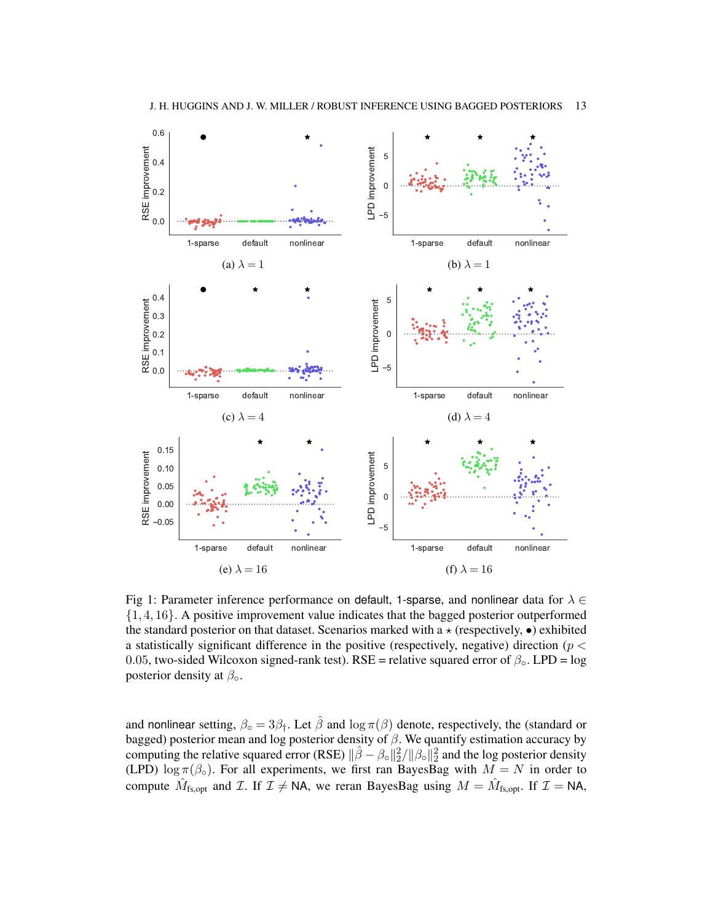<span id="page-12-0"></span>

Fig 1: Parameter inference performance on default, 1-sparse, and nonlinear data for  $\lambda \in$ {1, 4, 16}. A positive improvement value indicates that the bagged posterior outperformed the standard posterior on that dataset. Scenarios marked with a  $\star$  (respectively,  $\bullet$ ) exhibited a statistically significant difference in the positive (respectively, negative) direction ( $p <$ 0.05, two-sided Wilcoxon signed-rank test). RSE = relative squared error of  $\beta_{\rm o}$ . LPD = log posterior density at  $\beta_{\circ}$ .

and nonlinear setting,  $\beta_{\text{o}} = 3\beta_{\text{t}}$ . Let  $\hat{\beta}$  and  $\log \pi(\beta)$  denote, respectively, the (standard or bagged) posterior mean and log posterior density of  $\beta$ . We quantify estimation accuracy by computing the relative squared error (RSE)  $\|\hat{\beta} - \beta_0\|_2^2 / \|\beta_0\|_2^2$  and the log posterior density (LPD)  $\log \pi(\beta_0)$ . For all experiments, we first ran BayesBag with  $M = N$  in order to compute  $\hat{M}_{fs, opt}$  and  $\mathcal{I}$ . If  $\mathcal{I} \neq \mathsf{NA}$ , we reran BayesBag using  $M = \hat{M}_{fs, opt}$ . If  $\mathcal{I} = \mathsf{NA}$ ,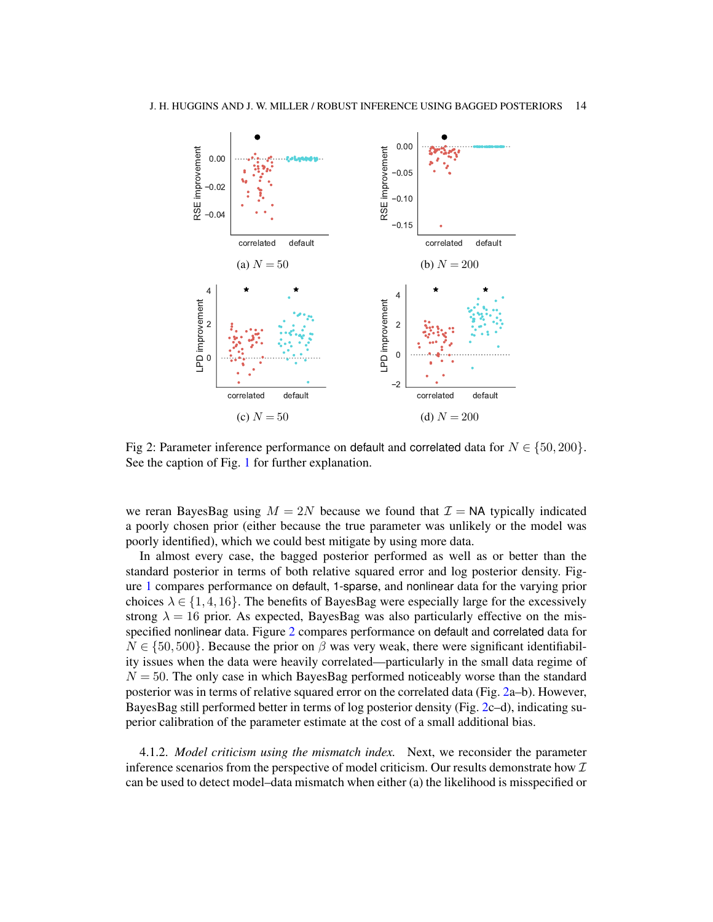<span id="page-13-0"></span>

Fig 2: Parameter inference performance on default and correlated data for  $N \in \{50, 200\}$ . See the caption of Fig. [1](#page-12-0) for further explanation.

we reran BayesBag using  $M = 2N$  because we found that  $\mathcal{I} = N$ A typically indicated a poorly chosen prior (either because the true parameter was unlikely or the model was poorly identified), which we could best mitigate by using more data.

In almost every case, the bagged posterior performed as well as or better than the standard posterior in terms of both relative squared error and log posterior density. Figure [1](#page-12-0) compares performance on default, 1-sparse, and nonlinear data for the varying prior choices  $\lambda \in \{1, 4, 16\}$ . The benefits of BayesBag were especially large for the excessively strong  $\lambda = 16$  prior. As expected, BayesBag was also particularly effective on the misspecified nonlinear data. Figure [2](#page-13-0) compares performance on default and correlated data for  $N \in \{50, 500\}$ . Because the prior on  $\beta$  was very weak, there were significant identifiability issues when the data were heavily correlated—particularly in the small data regime of  $N = 50$ . The only case in which BayesBag performed noticeably worse than the standard posterior was in terms of relative squared error on the correlated data (Fig. [2a](#page-13-0)–b). However, BayesBag still performed better in terms of log posterior density (Fig. [2c](#page-13-0)–d), indicating superior calibration of the parameter estimate at the cost of a small additional bias.

<span id="page-13-1"></span>4.1.2. *Model criticism using the mismatch index.* Next, we reconsider the parameter inference scenarios from the perspective of model criticism. Our results demonstrate how  $\mathcal I$ can be used to detect model–data mismatch when either (a) the likelihood is misspecified or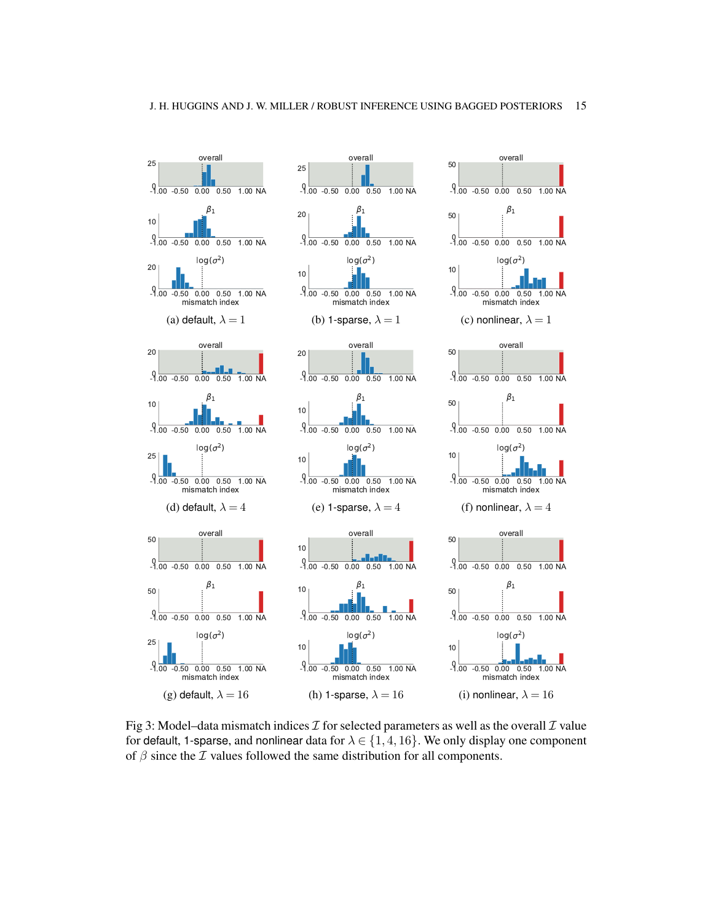<span id="page-14-0"></span>

Fig 3: Model–data mismatch indices  $\mathcal I$  for selected parameters as well as the overall  $\mathcal I$  value for default, 1-sparse, and nonlinear data for  $\lambda \in \{1, 4, 16\}$ . We only display one component of  $\beta$  since the  $\mathcal I$  values followed the same distribution for all components.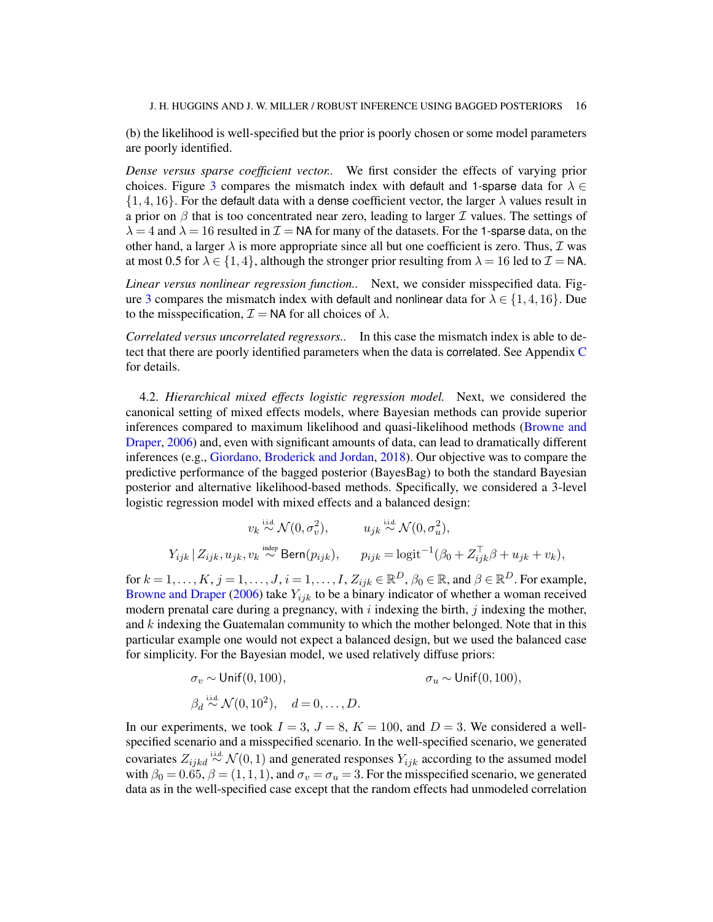(b) the likelihood is well-specified but the prior is poorly chosen or some model parameters are poorly identified.

*Dense versus sparse coefficient vector..* We first consider the effects of varying prior choices. Figure [3](#page-14-0) compares the mismatch index with default and 1-sparse data for  $\lambda \in$  $\{1, 4, 16\}$ . For the default data with a dense coefficient vector, the larger  $\lambda$  values result in a prior on  $\beta$  that is too concentrated near zero, leading to larger  $\mathcal I$  values. The settings of  $\lambda = 4$  and  $\lambda = 16$  resulted in  $\mathcal{I} = \mathsf{NA}$  for many of the datasets. For the 1-sparse data, on the other hand, a larger  $\lambda$  is more appropriate since all but one coefficient is zero. Thus,  $\mathcal I$  was at most 0.5 for  $\lambda \in \{1, 4\}$ , although the stronger prior resulting from  $\lambda = 16$  led to  $\mathcal{I} = \mathsf{NA}$ .

*Linear versus nonlinear regression function..* Next, we consider misspecified data. Fig-ure [3](#page-14-0) compares the mismatch index with default and nonlinear data for  $\lambda \in \{1, 4, 16\}$ . Due to the misspecification,  $\mathcal{I} = \mathsf{NA}$  for all choices of  $\lambda$ .

*Correlated versus uncorrelated regressors..* In this case the mismatch index is able to detect that there are poorly identified parameters when the data is correlated. See Appendix [C](#page-25-0) for details.

4.2. *Hierarchical mixed effects logistic regression model.* Next, we considered the canonical setting of mixed effects models, where Bayesian methods can provide superior inferences compared to maximum likelihood and quasi-likelihood methods [\(Browne and](#page-21-7) [Draper,](#page-21-7) [2006\)](#page-21-7) and, even with significant amounts of data, can lead to dramatically different inferences (e.g., [Giordano, Broderick and Jordan,](#page-22-9) [2018\)](#page-22-9). Our objective was to compare the predictive performance of the bagged posterior (BayesBag) to both the standard Bayesian posterior and alternative likelihood-based methods. Specifically, we considered a 3-level logistic regression model with mixed effects and a balanced design:

$$
v_k \stackrel{\text{i.i.d.}}{\sim} \mathcal{N}(0, \sigma_v^2), \qquad u_{jk} \stackrel{\text{i.i.d.}}{\sim} \mathcal{N}(0, \sigma_u^2),
$$
  

$$
Y_{ijk} | Z_{ijk}, u_{jk}, v_k \stackrel{\text{indep}}{\sim} \text{Bern}(p_{ijk}), \qquad p_{ijk} = \text{logit}^{-1}(\beta_0 + Z_{ijk}^\top \beta + u_{jk} + v_k),
$$

for  $k = 1, \ldots, K, j = 1, \ldots, J, i = 1, \ldots, I, Z_{ijk} \in \mathbb{R}^D, \beta_0 \in \mathbb{R}$ , and  $\beta \in \mathbb{R}^D$ . For example, [Browne and Draper](#page-21-7) [\(2006\)](#page-21-7) take  $Y_{ijk}$  to be a binary indicator of whether a woman received modern prenatal care during a pregnancy, with  $i$  indexing the birth,  $j$  indexing the mother, and  $k$  indexing the Guatemalan community to which the mother belonged. Note that in this particular example one would not expect a balanced design, but we used the balanced case for simplicity. For the Bayesian model, we used relatively diffuse priors:

$$
\sigma_v \sim \text{Unif}(0, 100), \qquad \sigma_u \sim \text{Unif}(0, 100),
$$
  

$$
\beta_d \stackrel{\text{i.i.d.}}{\sim} \mathcal{N}(0, 10^2), \quad d = 0, \dots, D.
$$

In our experiments, we took  $I = 3$ ,  $J = 8$ ,  $K = 100$ , and  $D = 3$ . We considered a wellspecified scenario and a misspecified scenario. In the well-specified scenario, we generated covariates  $Z_{ijkl} \stackrel{\text{i.i.d.}}{\sim} \mathcal{N}(0, 1)$  and generated responses  $Y_{ijk}$  according to the assumed model with  $\beta_0 = 0.65$ ,  $\beta = (1, 1, 1)$ , and  $\sigma_v = \sigma_u = 3$ . For the misspecified scenario, we generated data as in the well-specified case except that the random effects had unmodeled correlation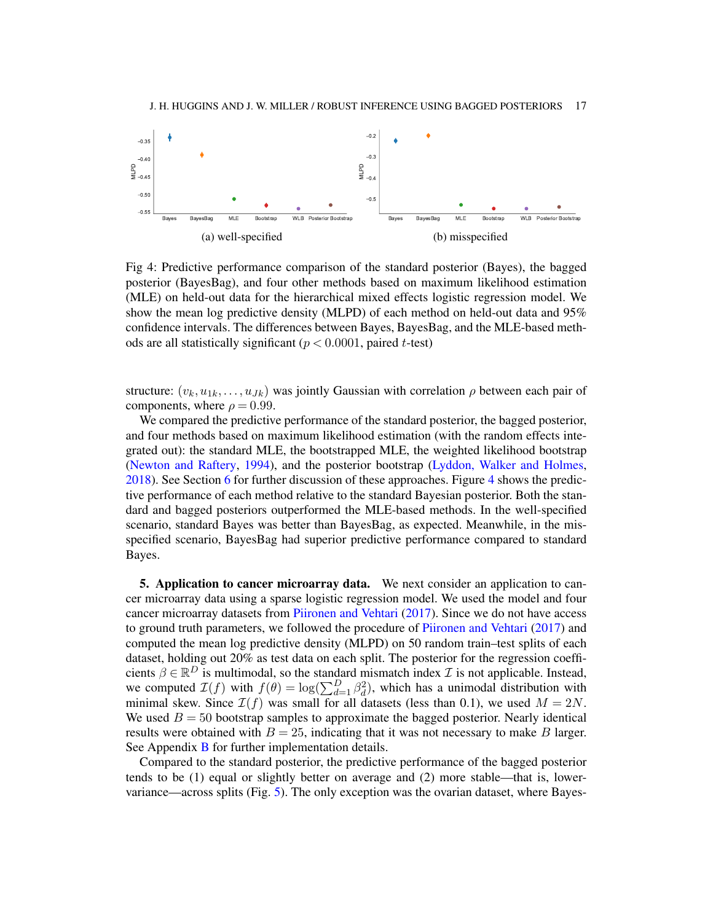<span id="page-16-1"></span>

Fig 4: Predictive performance comparison of the standard posterior (Bayes), the bagged posterior (BayesBag), and four other methods based on maximum likelihood estimation (MLE) on held-out data for the hierarchical mixed effects logistic regression model. We show the mean log predictive density (MLPD) of each method on held-out data and 95% confidence intervals. The differences between Bayes, BayesBag, and the MLE-based methods are all statistically significant ( $p < 0.0001$ , paired t-test)

structure:  $(v_k, u_{1k}, \ldots, u_{Jk})$  was jointly Gaussian with correlation  $\rho$  between each pair of components, where  $\rho = 0.99$ .

We compared the predictive performance of the standard posterior, the bagged posterior, and four methods based on maximum likelihood estimation (with the random effects integrated out): the standard MLE, the bootstrapped MLE, the weighted likelihood bootstrap [\(Newton and Raftery,](#page-22-10) [1994\)](#page-22-10), and the posterior bootstrap [\(Lyddon, Walker and Holmes,](#page-22-11) [2018\)](#page-22-11). See Section [6](#page-17-0) for further discussion of these approaches. Figure [4](#page-16-1) shows the predictive performance of each method relative to the standard Bayesian posterior. Both the standard and bagged posteriors outperformed the MLE-based methods. In the well-specified scenario, standard Bayes was better than BayesBag, as expected. Meanwhile, in the misspecified scenario, BayesBag had superior predictive performance compared to standard Bayes.

<span id="page-16-0"></span>5. Application to cancer microarray data. We next consider an application to cancer microarray data using a sparse logistic regression model. We used the model and four cancer microarray datasets from [Piironen and Vehtari](#page-22-12) [\(2017\)](#page-22-12). Since we do not have access to ground truth parameters, we followed the procedure of [Piironen and Vehtari](#page-22-12) [\(2017\)](#page-22-12) and computed the mean log predictive density (MLPD) on 50 random train–test splits of each dataset, holding out 20% as test data on each split. The posterior for the regression coefficients  $\beta \in \mathbb{R}^D$  is multimodal, so the standard mismatch index  $\mathcal I$  is not applicable. Instead, we computed  $\mathcal{I}(f)$  with  $f(\theta) = \log(\sum_{d=1}^{D} \beta_d^2)$ , which has a unimodal distribution with minimal skew. Since  $\mathcal{I}(f)$  was small for all datasets (less than 0.1), we used  $M = 2N$ . We used  $B = 50$  bootstrap samples to approximate the bagged posterior. Nearly identical results were obtained with  $B = 25$ , indicating that it was not necessary to make B larger. See Appendix [B](#page-24-1) for further implementation details.

Compared to the standard posterior, the predictive performance of the bagged posterior tends to be (1) equal or slightly better on average and (2) more stable—that is, lowervariance—across splits (Fig. [5\)](#page-17-1). The only exception was the ovarian dataset, where Bayes-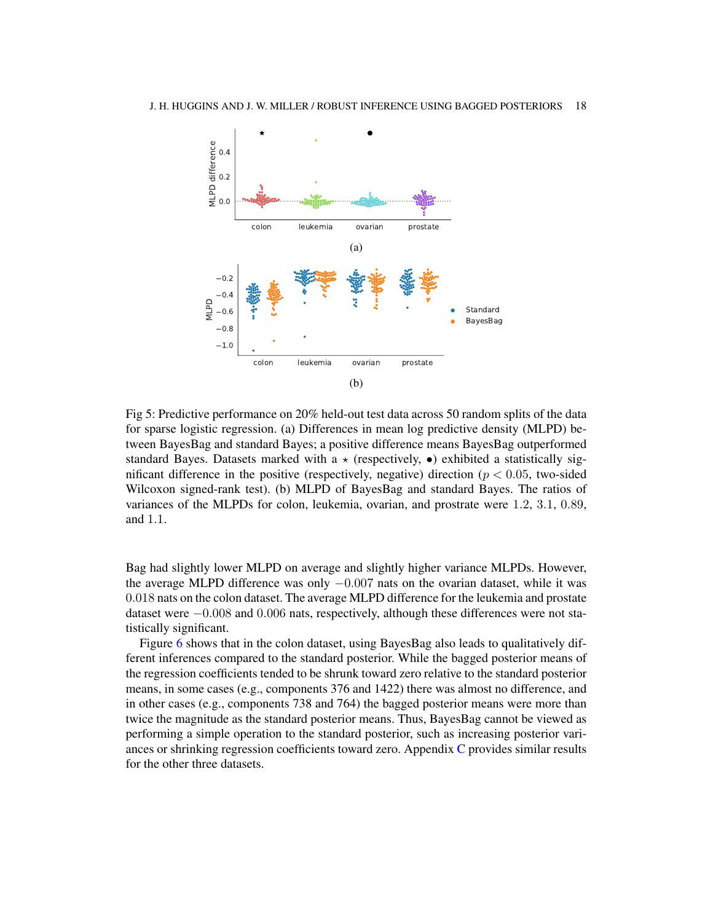<span id="page-17-1"></span>

Fig 5: Predictive performance on 20% held-out test data across 50 random splits of the data for sparse logistic regression. (a) Differences in mean log predictive density (MLPD) between BayesBag and standard Bayes; a positive difference means BayesBag outperformed standard Bayes. Datasets marked with a  $\star$  (respectively,  $\bullet$ ) exhibited a statistically significant difference in the positive (respectively, negative) direction ( $p < 0.05$ , two-sided Wilcoxon signed-rank test). (b) MLPD of BayesBag and standard Bayes. The ratios of variances of the MLPDs for colon, leukemia, ovarian, and prostrate were 1.2, 3.1, 0.89, and 1.1.

Bag had slightly lower MLPD on average and slightly higher variance MLPDs. However, the average MLPD difference was only  $-0.007$  nats on the ovarian dataset, while it was 0.018 nats on the colon dataset. The average MLPD difference for the leukemia and prostate dataset were −0.008 and 0.006 nats, respectively, although these differences were not statistically significant.

<span id="page-17-0"></span>Figure [6](#page-18-0) shows that in the colon dataset, using BayesBag also leads to qualitatively different inferences compared to the standard posterior. While the bagged posterior means of the regression coefficients tended to be shrunk toward zero relative to the standard posterior means, in some cases (e.g., components 376 and 1422) there was almost no difference, and in other cases (e.g., components 738 and 764) the bagged posterior means were more than twice the magnitude as the standard posterior means. Thus, BayesBag cannot be viewed as performing a simple operation to the standard posterior, such as increasing posterior variances or shrinking regression coefficients toward zero. Appendix [C](#page-25-0) provides similar results for the other three datasets.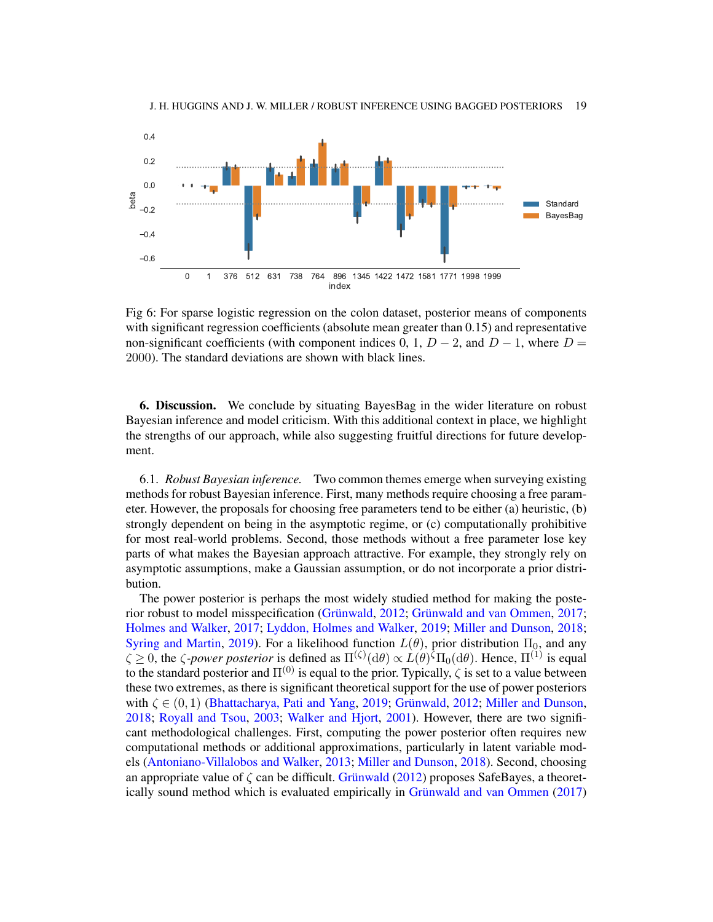<span id="page-18-0"></span>

Fig 6: For sparse logistic regression on the colon dataset, posterior means of components with significant regression coefficients (absolute mean greater than 0.15) and representative non-significant coefficients (with component indices 0, 1,  $D-2$ , and  $D-1$ , where  $D=$ 2000). The standard deviations are shown with black lines.

6. Discussion. We conclude by situating BayesBag in the wider literature on robust Bayesian inference and model criticism. With this additional context in place, we highlight the strengths of our approach, while also suggesting fruitful directions for future development.

6.1. *Robust Bayesian inference.* Two common themes emerge when surveying existing methods for robust Bayesian inference. First, many methods require choosing a free parameter. However, the proposals for choosing free parameters tend to be either (a) heuristic, (b) strongly dependent on being in the asymptotic regime, or (c) computationally prohibitive for most real-world problems. Second, those methods without a free parameter lose key parts of what makes the Bayesian approach attractive. For example, they strongly rely on asymptotic assumptions, make a Gaussian assumption, or do not incorporate a prior distribution.

The power posterior is perhaps the most widely studied method for making the posterior robust to model misspecification [\(Grünwald,](#page-22-13) [2012;](#page-22-13) [Grünwald and van Ommen,](#page-22-14) [2017;](#page-22-14) [Holmes and Walker,](#page-22-15) [2017;](#page-22-15) [Lyddon, Holmes and Walker,](#page-22-16) [2019;](#page-22-16) [Miller and Dunson,](#page-22-17) [2018;](#page-22-17) [Syring and Martin,](#page-23-5) [2019\)](#page-23-5). For a likelihood function  $L(\theta)$ , prior distribution  $\Pi_0$ , and any  $\zeta \ge 0$ , the  $\zeta$ -power posterior is defined as  $\Pi^{(\zeta)}(\mathrm{d}\theta) \propto L(\theta)^{\overline{\zeta}}\Pi_0(\mathrm{d}\theta)$ . Hence,  $\Pi^{(1)}$  is equal to the standard posterior and  $\Pi^{(0)}$  is equal to the prior. Typically,  $\zeta$  is set to a value between these two extremes, as there is significant theoretical support for the use of power posteriors with  $\zeta \in (0,1)$  [\(Bhattacharya, Pati and Yang,](#page-21-8) [2019;](#page-21-8) [Grünwald,](#page-22-13) [2012;](#page-22-13) [Miller and Dunson,](#page-22-17) [2018;](#page-22-17) [Royall and Tsou,](#page-22-18) [2003;](#page-22-18) [Walker and Hjort,](#page-23-6) [2001\)](#page-23-6). However, there are two significant methodological challenges. First, computing the power posterior often requires new computational methods or additional approximations, particularly in latent variable models [\(Antoniano-Villalobos and Walker,](#page-21-9) [2013;](#page-21-9) [Miller and Dunson,](#page-22-17) [2018\)](#page-22-17). Second, choosing an appropriate value of  $\zeta$  can be difficult. [Grünwald](#page-22-13) [\(2012\)](#page-22-13) proposes SafeBayes, a theoretically sound method which is evaluated empirically in [Grünwald and van Ommen](#page-22-14) [\(2017\)](#page-22-14)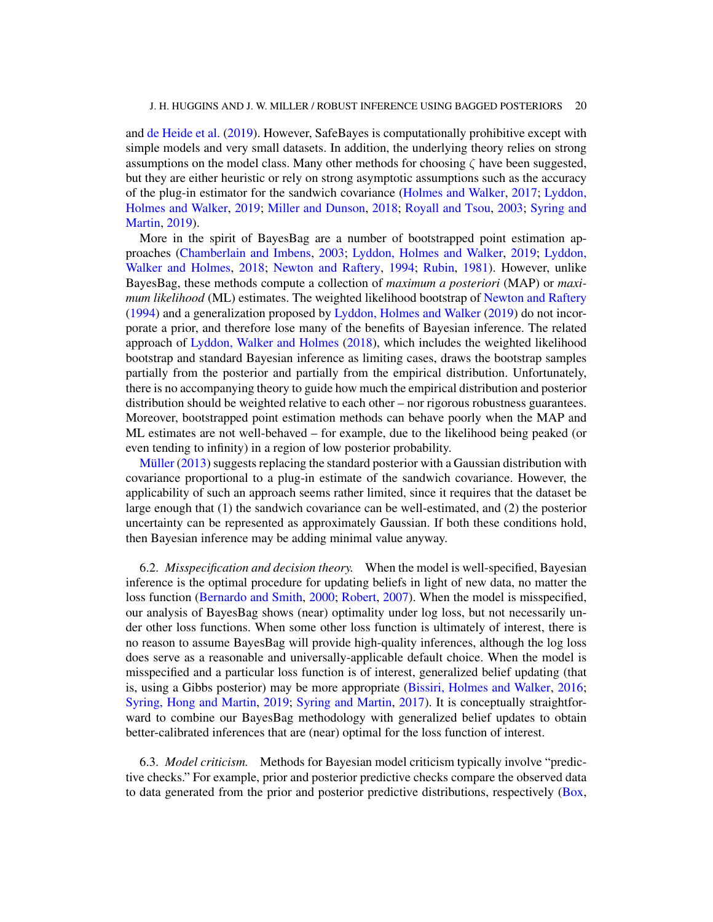and [de Heide et al.](#page-21-10) [\(2019\)](#page-21-10). However, SafeBayes is computationally prohibitive except with simple models and very small datasets. In addition, the underlying theory relies on strong assumptions on the model class. Many other methods for choosing  $\zeta$  have been suggested, but they are either heuristic or rely on strong asymptotic assumptions such as the accuracy of the plug-in estimator for the sandwich covariance [\(Holmes and Walker,](#page-22-15) [2017;](#page-22-15) [Lyddon,](#page-22-16) [Holmes and Walker,](#page-22-16) [2019;](#page-22-16) [Miller and Dunson,](#page-22-17) [2018;](#page-22-17) [Royall and Tsou,](#page-22-18) [2003;](#page-22-18) [Syring and](#page-23-5) [Martin,](#page-23-5) [2019\)](#page-23-5).

More in the spirit of BayesBag are a number of bootstrapped point estimation approaches [\(Chamberlain and Imbens,](#page-21-11) [2003;](#page-21-11) [Lyddon, Holmes and Walker,](#page-22-16) [2019;](#page-22-16) [Lyddon,](#page-22-11) [Walker and Holmes,](#page-22-11) [2018;](#page-22-11) [Newton and Raftery,](#page-22-10) [1994;](#page-22-10) [Rubin,](#page-23-7) [1981\)](#page-23-7). However, unlike BayesBag, these methods compute a collection of *maximum a posteriori* (MAP) or *maximum likelihood* (ML) estimates. The weighted likelihood bootstrap of [Newton and Raftery](#page-22-10) [\(1994\)](#page-22-10) and a generalization proposed by [Lyddon, Holmes and Walker](#page-22-16) [\(2019\)](#page-22-16) do not incorporate a prior, and therefore lose many of the benefits of Bayesian inference. The related approach of [Lyddon, Walker and Holmes](#page-22-11) [\(2018\)](#page-22-11), which includes the weighted likelihood bootstrap and standard Bayesian inference as limiting cases, draws the bootstrap samples partially from the posterior and partially from the empirical distribution. Unfortunately, there is no accompanying theory to guide how much the empirical distribution and posterior distribution should be weighted relative to each other – nor rigorous robustness guarantees. Moreover, bootstrapped point estimation methods can behave poorly when the MAP and ML estimates are not well-behaved – for example, due to the likelihood being peaked (or even tending to infinity) in a region of low posterior probability.

[Müller](#page-22-19) [\(2013\)](#page-22-19) suggests replacing the standard posterior with a Gaussian distribution with covariance proportional to a plug-in estimate of the sandwich covariance. However, the applicability of such an approach seems rather limited, since it requires that the dataset be large enough that (1) the sandwich covariance can be well-estimated, and (2) the posterior uncertainty can be represented as approximately Gaussian. If both these conditions hold, then Bayesian inference may be adding minimal value anyway.

6.2. *Misspecification and decision theory.* When the model is well-specified, Bayesian inference is the optimal procedure for updating beliefs in light of new data, no matter the loss function [\(Bernardo and Smith,](#page-21-12) [2000;](#page-21-12) [Robert,](#page-22-20) [2007\)](#page-22-20). When the model is misspecified, our analysis of BayesBag shows (near) optimality under log loss, but not necessarily under other loss functions. When some other loss function is ultimately of interest, there is no reason to assume BayesBag will provide high-quality inferences, although the log loss does serve as a reasonable and universally-applicable default choice. When the model is misspecified and a particular loss function is of interest, generalized belief updating (that is, using a Gibbs posterior) may be more appropriate [\(Bissiri, Holmes and Walker,](#page-21-13) [2016;](#page-21-13) [Syring, Hong and Martin,](#page-23-8) [2019;](#page-23-8) [Syring and Martin,](#page-23-9) [2017\)](#page-23-9). It is conceptually straightforward to combine our BayesBag methodology with generalized belief updates to obtain better-calibrated inferences that are (near) optimal for the loss function of interest.

6.3. *Model criticism.* Methods for Bayesian model criticism typically involve "predictive checks." For example, prior and posterior predictive checks compare the observed data to data generated from the prior and posterior predictive distributions, respectively [\(Box,](#page-21-1)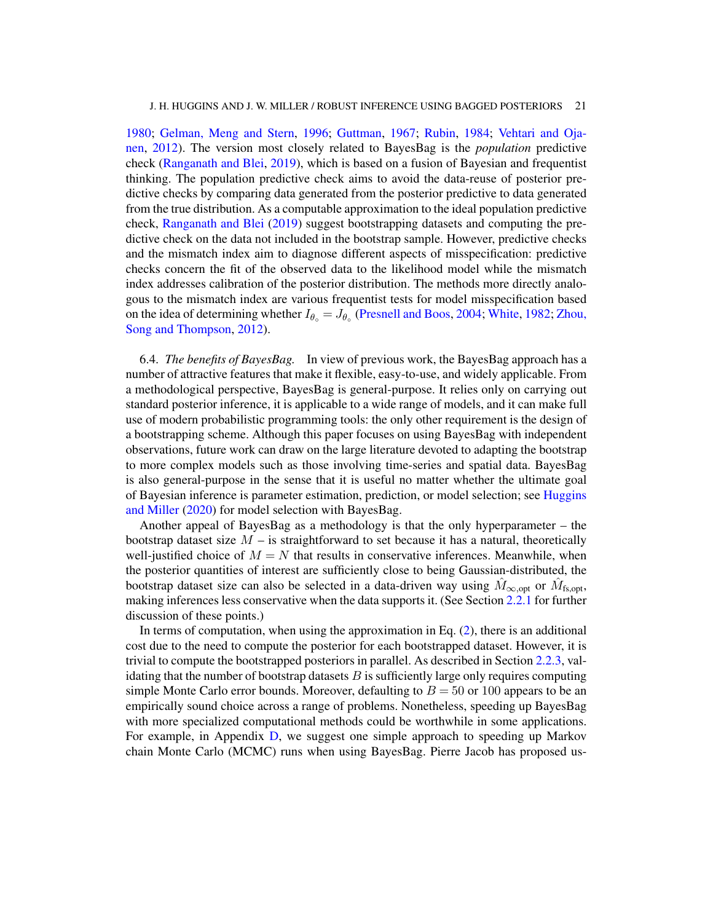[1980;](#page-21-1) [Gelman, Meng and Stern,](#page-22-21) [1996;](#page-22-21) [Guttman,](#page-22-22) [1967;](#page-22-22) [Rubin,](#page-23-10) [1984;](#page-23-10) [Vehtari and Oja](#page-23-0)[nen,](#page-23-0) [2012\)](#page-23-0). The version most closely related to BayesBag is the *population* predictive check [\(Ranganath and Blei,](#page-22-23) [2019\)](#page-22-23), which is based on a fusion of Bayesian and frequentist thinking. The population predictive check aims to avoid the data-reuse of posterior predictive checks by comparing data generated from the posterior predictive to data generated from the true distribution. As a computable approximation to the ideal population predictive check, [Ranganath and Blei](#page-22-23) [\(2019\)](#page-22-23) suggest bootstrapping datasets and computing the predictive check on the data not included in the bootstrap sample. However, predictive checks and the mismatch index aim to diagnose different aspects of misspecification: predictive checks concern the fit of the observed data to the likelihood model while the mismatch index addresses calibration of the posterior distribution. The methods more directly analogous to the mismatch index are various frequentist tests for model misspecification based on the idea of determining whether  $I_{\theta \circ} = J_{\theta \circ}$  [\(Presnell and Boos,](#page-22-24) [2004;](#page-22-24) [White,](#page-23-2) [1982;](#page-23-2) [Zhou,](#page-23-11) [Song and Thompson,](#page-23-11) [2012\)](#page-23-11).

6.4. *The benefits of BayesBag.* In view of previous work, the BayesBag approach has a number of attractive features that make it flexible, easy-to-use, and widely applicable. From a methodological perspective, BayesBag is general-purpose. It relies only on carrying out standard posterior inference, it is applicable to a wide range of models, and it can make full use of modern probabilistic programming tools: the only other requirement is the design of a bootstrapping scheme. Although this paper focuses on using BayesBag with independent observations, future work can draw on the large literature devoted to adapting the bootstrap to more complex models such as those involving time-series and spatial data. BayesBag is also general-purpose in the sense that it is useful no matter whether the ultimate goal of Bayesian inference is parameter estimation, prediction, or model selection; see [Huggins](#page-22-3) [and Miller](#page-22-3) [\(2020\)](#page-22-3) for model selection with BayesBag.

Another appeal of BayesBag as a methodology is that the only hyperparameter – the bootstrap dataset size  $M -$  is straightforward to set because it has a natural, theoretically well-justified choice of  $M = N$  that results in conservative inferences. Meanwhile, when the posterior quantities of interest are sufficiently close to being Gaussian-distributed, the bootstrap dataset size can also be selected in a data-driven way using  $\hat{M}_{\infty, \text{opt}}$  or  $\hat{M}_{\text{fs}, \text{opt}}$ , making inferences less conservative when the data supports it. (See Section [2.2.1](#page-4-1) for further discussion of these points.)

In terms of computation, when using the approximation in Eq.  $(2)$ , there is an additional cost due to the need to compute the posterior for each bootstrapped dataset. However, it is trivial to compute the bootstrapped posteriors in parallel. As described in Section [2.2.3,](#page-7-1) validating that the number of bootstrap datasets  $B$  is sufficiently large only requires computing simple Monte Carlo error bounds. Moreover, defaulting to  $B = 50$  or 100 appears to be an empirically sound choice across a range of problems. Nonetheless, speeding up BayesBag with more specialized computational methods could be worthwhile in some applications. For example, in Appendix [D,](#page-28-0) we suggest one simple approach to speeding up Markov chain Monte Carlo (MCMC) runs when using BayesBag. Pierre Jacob has proposed us-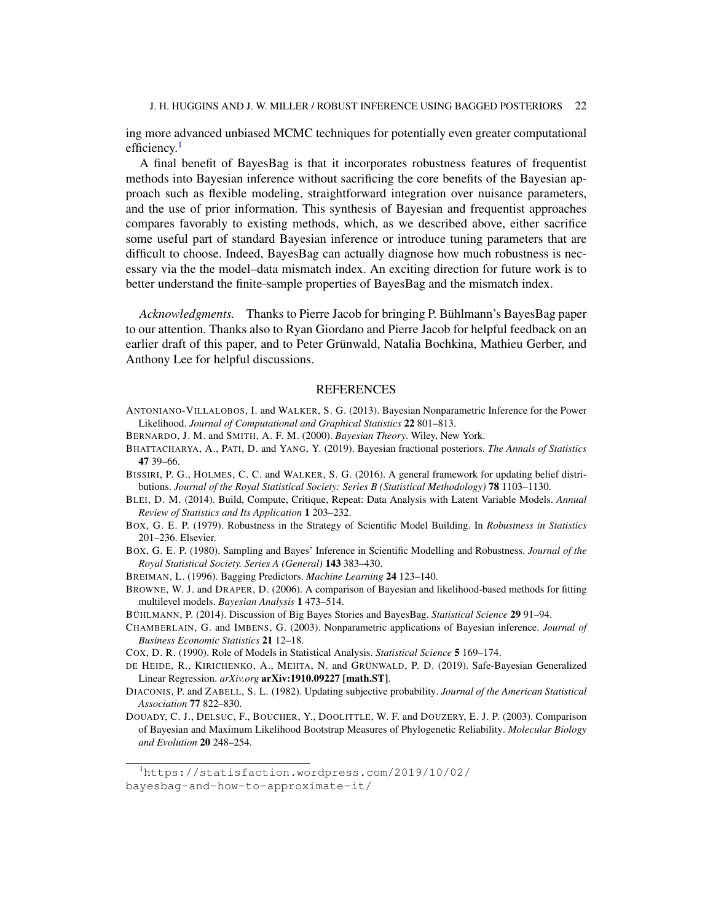ing more advanced unbiased MCMC techniques for potentially even greater computational efficiency.<sup>[1](#page-21-14)</sup>

A final benefit of BayesBag is that it incorporates robustness features of frequentist methods into Bayesian inference without sacrificing the core benefits of the Bayesian approach such as flexible modeling, straightforward integration over nuisance parameters, and the use of prior information. This synthesis of Bayesian and frequentist approaches compares favorably to existing methods, which, as we described above, either sacrifice some useful part of standard Bayesian inference or introduce tuning parameters that are difficult to choose. Indeed, BayesBag can actually diagnose how much robustness is necessary via the the model–data mismatch index. An exciting direction for future work is to better understand the finite-sample properties of BayesBag and the mismatch index.

*Acknowledgments.* Thanks to Pierre Jacob for bringing P. Bühlmann's BayesBag paper to our attention. Thanks also to Ryan Giordano and Pierre Jacob for helpful feedback on an earlier draft of this paper, and to Peter Grünwald, Natalia Bochkina, Mathieu Gerber, and Anthony Lee for helpful discussions.

### REFERENCES

- <span id="page-21-9"></span>ANTONIANO-VILLALOBOS, I. and WALKER, S. G. (2013). Bayesian Nonparametric Inference for the Power Likelihood. *Journal of Computational and Graphical Statistics* 22 801–813.
- <span id="page-21-12"></span>BERNARDO, J. M. and SMITH, A. F. M. (2000). *Bayesian Theory*. Wiley, New York.
- <span id="page-21-8"></span>BHATTACHARYA, A., PATI, D. and YANG, Y. (2019). Bayesian fractional posteriors. *The Annals of Statistics* 47 39–66.
- <span id="page-21-13"></span>BISSIRI, P. G., HOLMES, C. C. and WALKER, S. G. (2016). A general framework for updating belief distributions. *Journal of the Royal Statistical Society: Series B (Statistical Methodology)* 78 1103–1130.
- <span id="page-21-3"></span>BLEI, D. M. (2014). Build, Compute, Critique, Repeat: Data Analysis with Latent Variable Models. *Annual Review of Statistics and Its Application* 1 203–232.
- <span id="page-21-0"></span>BOX, G. E. P. (1979). Robustness in the Strategy of Scientific Model Building. In *Robustness in Statistics* 201–236. Elsevier.
- <span id="page-21-1"></span>BOX, G. E. P. (1980). Sampling and Bayes' Inference in Scientific Modelling and Robustness. *Journal of the Royal Statistical Society. Series A (General)* 143 383–430.
- <span id="page-21-6"></span>BREIMAN, L. (1996). Bagging Predictors. *Machine Learning* 24 123–140.
- <span id="page-21-7"></span>BROWNE, W. J. and DRAPER, D. (2006). A comparison of Bayesian and likelihood-based methods for fitting multilevel models. *Bayesian Analysis* 1 473–514.
- <span id="page-21-5"></span>BÜHLMANN, P. (2014). Discussion of Big Bayes Stories and BayesBag. *Statistical Science* 29 91–94.
- <span id="page-21-11"></span>CHAMBERLAIN, G. and IMBENS, G. (2003). Nonparametric applications of Bayesian inference. *Journal of Business Economic Statistics* 21 12–18.
- <span id="page-21-2"></span>COX, D. R. (1990). Role of Models in Statistical Analysis. *Statistical Science* 5 169–174.
- <span id="page-21-10"></span>DE HEIDE, R., KIRICHENKO, A., MEHTA, N. and GRÜNWALD, P. D. (2019). Safe-Bayesian Generalized Linear Regression. *arXiv.org* arXiv:1910.09227 [math.ST].
- <span id="page-21-15"></span>DIACONIS, P. and ZABELL, S. L. (1982). Updating subjective probability. *Journal of the American Statistical Association* 77 822–830.
- <span id="page-21-4"></span>DOUADY, C. J., DELSUC, F., BOUCHER, Y., DOOLITTLE, W. F. and DOUZERY, E. J. P. (2003). Comparison of Bayesian and Maximum Likelihood Bootstrap Measures of Phylogenetic Reliability. *Molecular Biology and Evolution* 20 248–254.

<span id="page-21-14"></span><sup>1</sup>[https://statisfaction.wordpress.com/2019/10/02/](https://statisfaction.wordpress.com/2019/10/02/bayesbag-and-how-to-approximate-it/) [bayesbag-and-how-to-approximate-it/](https://statisfaction.wordpress.com/2019/10/02/bayesbag-and-how-to-approximate-it/)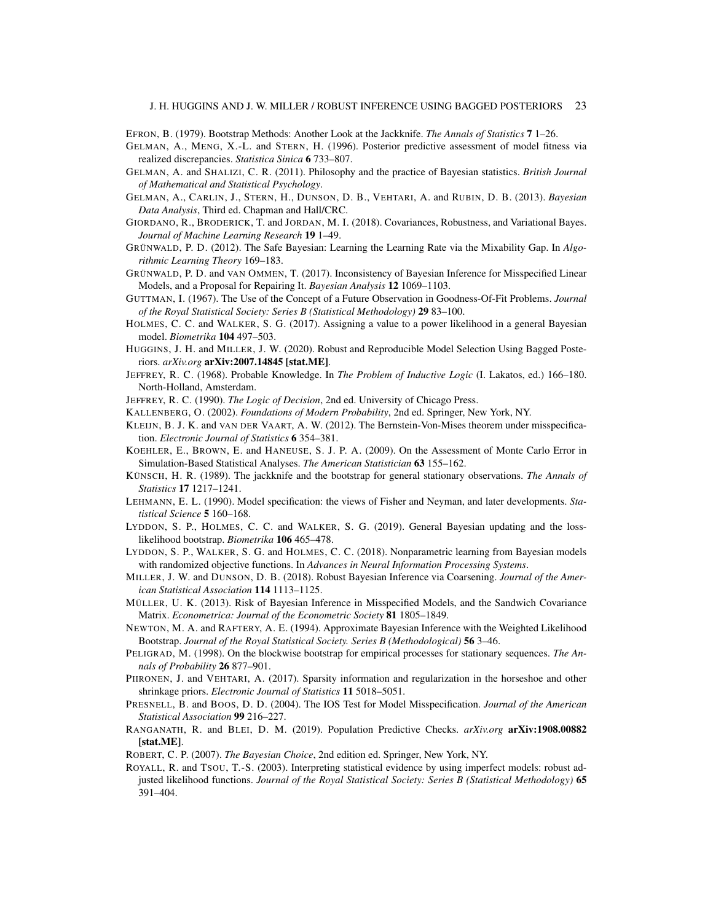- <span id="page-22-4"></span>EFRON, B. (1979). Bootstrap Methods: Another Look at the Jackknife. *The Annals of Statistics* 7 1–26.
- <span id="page-22-21"></span>GELMAN, A., MENG, X.-L. and STERN, H. (1996). Posterior predictive assessment of model fitness via realized discrepancies. *Statistica Sinica* 6 733–807.
- <span id="page-22-2"></span>GELMAN, A. and SHALIZI, C. R. (2011). Philosophy and the practice of Bayesian statistics. *British Journal of Mathematical and Statistical Psychology*.
- <span id="page-22-1"></span>GELMAN, A., CARLIN, J., STERN, H., DUNSON, D. B., VEHTARI, A. and RUBIN, D. B. (2013). *Bayesian Data Analysis*, Third ed. Chapman and Hall/CRC.
- <span id="page-22-9"></span>GIORDANO, R., BRODERICK, T. and JORDAN, M. I. (2018). Covariances, Robustness, and Variational Bayes. *Journal of Machine Learning Research* 19 1–49.
- <span id="page-22-13"></span>GRÜNWALD, P. D. (2012). The Safe Bayesian: Learning the Learning Rate via the Mixability Gap. In *Algorithmic Learning Theory* 169–183.
- <span id="page-22-14"></span>GRÜNWALD, P. D. and VAN OMMEN, T. (2017). Inconsistency of Bayesian Inference for Misspecified Linear Models, and a Proposal for Repairing It. *Bayesian Analysis* 12 1069–1103.
- <span id="page-22-22"></span>GUTTMAN, I. (1967). The Use of the Concept of a Future Observation in Goodness-Of-Fit Problems. *Journal of the Royal Statistical Society: Series B (Statistical Methodology)* 29 83–100.
- <span id="page-22-15"></span>HOLMES, C. C. and WALKER, S. G. (2017). Assigning a value to a power likelihood in a general Bayesian model. *Biometrika* 104 497–503.
- <span id="page-22-3"></span>HUGGINS, J. H. and MILLER, J. W. (2020). Robust and Reproducible Model Selection Using Bagged Posteriors. *arXiv.org* arXiv:2007.14845 [stat.ME].
- <span id="page-22-25"></span>JEFFREY, R. C. (1968). Probable Knowledge. In *The Problem of Inductive Logic* (I. Lakatos, ed.) 166–180. North-Holland, Amsterdam.
- <span id="page-22-26"></span>JEFFREY, R. C. (1990). *The Logic of Decision*, 2nd ed. University of Chicago Press.
- <span id="page-22-27"></span>KALLENBERG, O. (2002). *Foundations of Modern Probability*, 2nd ed. Springer, New York, NY.
- <span id="page-22-6"></span>KLEIJN, B. J. K. and VAN DER VAART, A. W. (2012). The Bernstein-Von-Mises theorem under misspecification. *Electronic Journal of Statistics* 6 354–381.
- <span id="page-22-5"></span>KOEHLER, E., BROWN, E. and HANEUSE, S. J. P. A. (2009). On the Assessment of Monte Carlo Error in Simulation-Based Statistical Analyses. *The American Statistician* 63 155–162.
- <span id="page-22-7"></span>KÜNSCH, H. R. (1989). The jackknife and the bootstrap for general stationary observations. *The Annals of Statistics* 17 1217–1241.
- <span id="page-22-0"></span>LEHMANN, E. L. (1990). Model specification: the views of Fisher and Neyman, and later developments. *Statistical Science* 5 160–168.
- <span id="page-22-16"></span>LYDDON, S. P., HOLMES, C. C. and WALKER, S. G. (2019). General Bayesian updating and the losslikelihood bootstrap. *Biometrika* 106 465–478.
- <span id="page-22-11"></span>LYDDON, S. P., WALKER, S. G. and HOLMES, C. C. (2018). Nonparametric learning from Bayesian models with randomized objective functions. In *Advances in Neural Information Processing Systems*.
- <span id="page-22-17"></span>MILLER, J. W. and DUNSON, D. B. (2018). Robust Bayesian Inference via Coarsening. *Journal of the American Statistical Association* 114 1113–1125.
- <span id="page-22-19"></span>MÜLLER, U. K. (2013). Risk of Bayesian Inference in Misspecified Models, and the Sandwich Covariance Matrix. *Econometrica: Journal of the Econometric Society* 81 1805–1849.
- <span id="page-22-10"></span>NEWTON, M. A. and RAFTERY, A. E. (1994). Approximate Bayesian Inference with the Weighted Likelihood Bootstrap. *Journal of the Royal Statistical Society. Series B (Methodological)* 56 3–46.
- <span id="page-22-8"></span>PELIGRAD, M. (1998). On the blockwise bootstrap for empirical processes for stationary sequences. *The Annals of Probability* 26 877–901.
- <span id="page-22-12"></span>PIIRONEN, J. and VEHTARI, A. (2017). Sparsity information and regularization in the horseshoe and other shrinkage priors. *Electronic Journal of Statistics* 11 5018–5051.
- <span id="page-22-24"></span>PRESNELL, B. and BOOS, D. D. (2004). The IOS Test for Model Misspecification. *Journal of the American Statistical Association* 99 216–227.
- <span id="page-22-23"></span>RANGANATH, R. and BLEI, D. M. (2019). Population Predictive Checks. *arXiv.org* arXiv:1908.00882 [stat.ME].
- <span id="page-22-20"></span>ROBERT, C. P. (2007). *The Bayesian Choice*, 2nd edition ed. Springer, New York, NY.
- <span id="page-22-18"></span>ROYALL, R. and TSOU, T.-S. (2003). Interpreting statistical evidence by using imperfect models: robust adjusted likelihood functions. *Journal of the Royal Statistical Society: Series B (Statistical Methodology)* 65 391–404.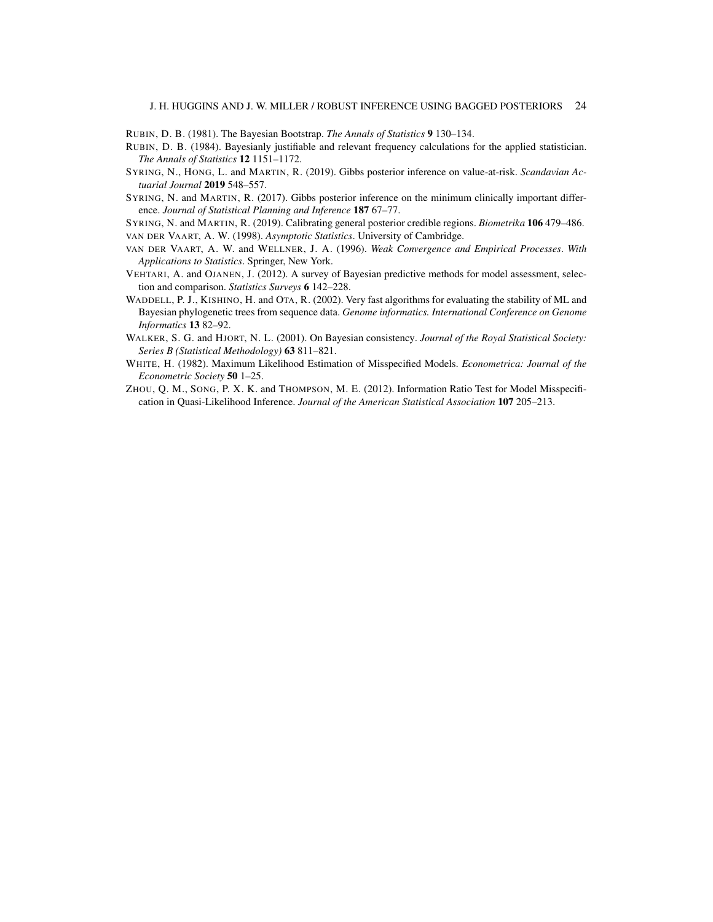<span id="page-23-7"></span>RUBIN, D. B. (1981). The Bayesian Bootstrap. *The Annals of Statistics* 9 130–134.

- <span id="page-23-10"></span>RUBIN, D. B. (1984). Bayesianly justifiable and relevant frequency calculations for the applied statistician. *The Annals of Statistics* 12 1151–1172.
- <span id="page-23-8"></span>SYRING, N., HONG, L. and MARTIN, R. (2019). Gibbs posterior inference on value-at-risk. *Scandavian Actuarial Journal* 2019 548–557.
- <span id="page-23-9"></span>SYRING, N. and MARTIN, R. (2017). Gibbs posterior inference on the minimum clinically important difference. *Journal of Statistical Planning and Inference* 187 67–77.

<span id="page-23-5"></span><span id="page-23-3"></span>SYRING, N. and MARTIN, R. (2019). Calibrating general posterior credible regions. *Biometrika* 106 479–486. VAN DER VAART, A. W. (1998). *Asymptotic Statistics*. University of Cambridge.

- <span id="page-23-4"></span>VAN DER VAART, A. W. and WELLNER, J. A. (1996). *Weak Convergence and Empirical Processes*. *With Applications to Statistics*. Springer, New York.
- <span id="page-23-0"></span>VEHTARI, A. and OJANEN, J. (2012). A survey of Bayesian predictive methods for model assessment, selection and comparison. *Statistics Surveys* 6 142–228.
- <span id="page-23-1"></span>WADDELL, P. J., KISHINO, H. and OTA, R. (2002). Very fast algorithms for evaluating the stability of ML and Bayesian phylogenetic trees from sequence data. *Genome informatics. International Conference on Genome Informatics* 13 82–92.
- <span id="page-23-6"></span>WALKER, S. G. and HJORT, N. L. (2001). On Bayesian consistency. *Journal of the Royal Statistical Society: Series B (Statistical Methodology)* 63 811–821.
- <span id="page-23-2"></span>WHITE, H. (1982). Maximum Likelihood Estimation of Misspecified Models. *Econometrica: Journal of the Econometric Society* 50 1–25.
- <span id="page-23-11"></span>ZHOU, Q. M., SONG, P. X. K. and THOMPSON, M. E. (2012). Information Ratio Test for Model Misspecification in Quasi-Likelihood Inference. *Journal of the American Statistical Association* 107 205–213.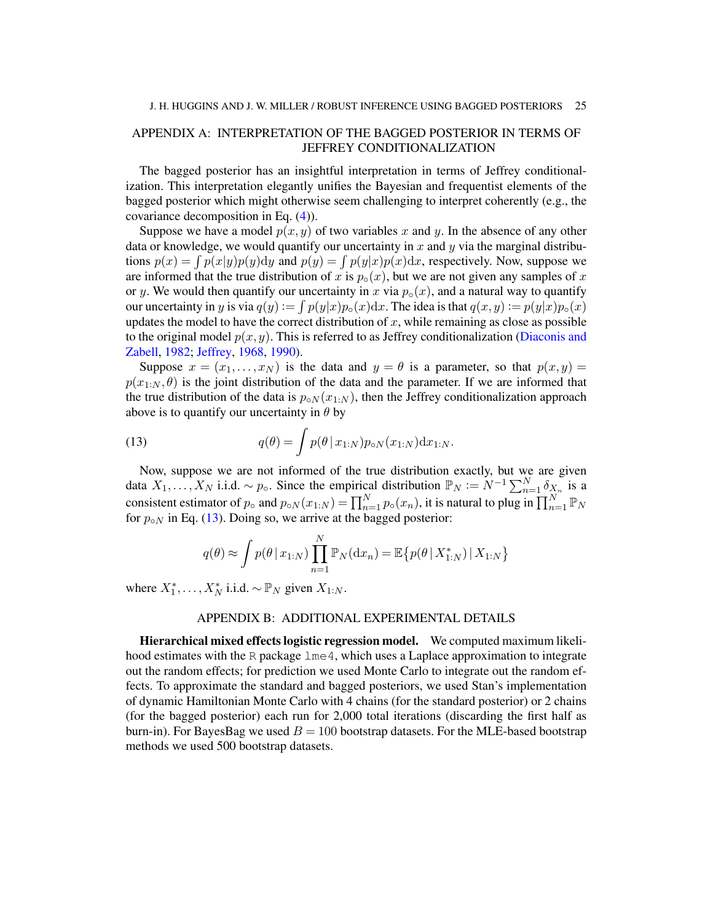## <span id="page-24-0"></span>APPENDIX A: INTERPRETATION OF THE BAGGED POSTERIOR IN TERMS OF JEFFREY CONDITIONALIZATION

The bagged posterior has an insightful interpretation in terms of Jeffrey conditionalization. This interpretation elegantly unifies the Bayesian and frequentist elements of the bagged posterior which might otherwise seem challenging to interpret coherently (e.g., the covariance decomposition in Eq. [\(4\)](#page-3-0)).

Suppose we have a model  $p(x, y)$  of two variables x and y. In the absence of any other data or knowledge, we would quantify our uncertainty in x and y via the marginal distributions  $p(x) = \int p(x|y)p(y)dy$  and  $p(y) = \int p(y|x)p(x)dx$ , respectively. Now, suppose we are informed that the true distribution of x is  $p_{\circ}(x)$ , but we are not given any samples of x or y. We would then quantify our uncertainty in x via  $p_0(x)$ , and a natural way to quantify our uncertainty in y is via  $q(y) := \int p(y|x)p_{\circ}(x)dx$ . The idea is that  $q(x, y) := p(y|x)p_{\circ}(x)$ updates the model to have the correct distribution of  $x$ , while remaining as close as possible to the original model  $p(x, y)$ . This is referred to as Jeffrey conditionalization [\(Diaconis and](#page-21-15) [Zabell,](#page-21-15) [1982;](#page-21-15) [Jeffrey,](#page-22-25) [1968,](#page-22-25) [1990\)](#page-22-26).

Suppose  $x = (x_1, \ldots, x_N)$  is the data and  $y = \theta$  is a parameter, so that  $p(x, y) =$  $p(x_{1:N}, \theta)$  is the joint distribution of the data and the parameter. If we are informed that the true distribution of the data is  $p_{\circ N}(x_{1:N})$ , then the Jeffrey conditionalization approach above is to quantify our uncertainty in  $\theta$  by

<span id="page-24-2"></span>(13) 
$$
q(\theta) = \int p(\theta \,|\, x_{1:N}) p_{\circ N}(x_{1:N}) \mathrm{d}x_{1:N}.
$$

Now, suppose we are not informed of the true distribution exactly, but we are given data  $X_1, \ldots, X_N$  i.i.d. ~  $p_0$ . Since the empirical distribution  $\mathbb{P}_N := N^{-1} \sum_{n=1}^N \delta_{X_n}$  is a consistent estimator of  $p_\circ$  and  $p_{\circ N}(x_{1:N}) = \prod_{n=1}^N p_\circ(x_n)$ , it is natural to plug in  $\prod_{n=1}^N \mathbb{P}_N$ for  $p_{oN}$  in Eq. [\(13\)](#page-24-2). Doing so, we arrive at the bagged posterior:

$$
q(\theta) \approx \int p(\theta | x_{1:N}) \prod_{n=1}^{N} \mathbb{P}_{N}(\mathrm{d} x_{n}) = \mathbb{E} \{ p(\theta | X_{1:N}^{*}) | X_{1:N} \}
$$

where  $X_1^*, \ldots, X_N^*$  i.i.d.  $\sim \mathbb{P}_N$  given  $X_{1:N}$ .

### APPENDIX B: ADDITIONAL EXPERIMENTAL DETAILS

<span id="page-24-1"></span>Hierarchical mixed effects logistic regression model. We computed maximum likelihood estimates with the R package  $\text{1me}\,4$ , which uses a Laplace approximation to integrate out the random effects; for prediction we used Monte Carlo to integrate out the random effects. To approximate the standard and bagged posteriors, we used Stan's implementation of dynamic Hamiltonian Monte Carlo with 4 chains (for the standard posterior) or 2 chains (for the bagged posterior) each run for 2,000 total iterations (discarding the first half as burn-in). For BayesBag we used  $B = 100$  bootstrap datasets. For the MLE-based bootstrap methods we used 500 bootstrap datasets.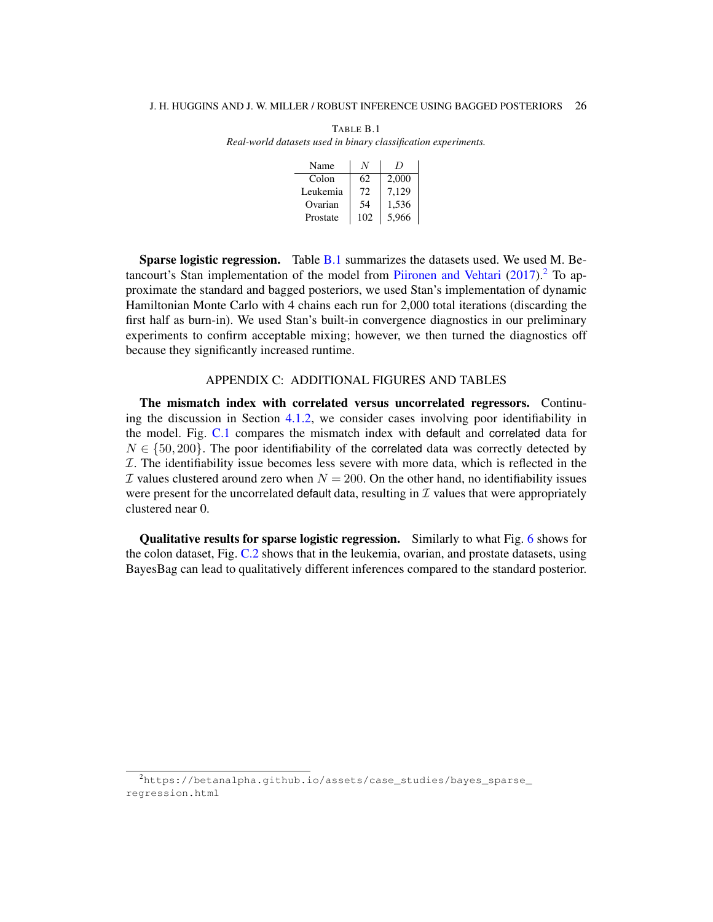| Name     |     | $\prime$ |
|----------|-----|----------|
| Colon    | 62  | 2,000    |
| Leukemia | 72  | 7,129    |
| Ovarian  | 54  | 1,536    |
| Prostate | 102 | 5.966    |

<span id="page-25-1"></span>TABLE B.1 *Real-world datasets used in binary classification experiments.*

Sparse logistic regression. Table [B.1](#page-25-1) summarizes the datasets used. We used M. Be-tancourt's Stan implementation of the model from [Piironen and Vehtari](#page-22-12)  $(2017)$ .<sup>[2](#page-25-2)</sup> To approximate the standard and bagged posteriors, we used Stan's implementation of dynamic Hamiltonian Monte Carlo with 4 chains each run for 2,000 total iterations (discarding the first half as burn-in). We used Stan's built-in convergence diagnostics in our preliminary experiments to confirm acceptable mixing; however, we then turned the diagnostics off because they significantly increased runtime.

### APPENDIX C: ADDITIONAL FIGURES AND TABLES

<span id="page-25-0"></span>The mismatch index with correlated versus uncorrelated regressors. Continuing the discussion in Section [4.1.2,](#page-13-1) we consider cases involving poor identifiability in the model. Fig. [C.1](#page-26-0) compares the mismatch index with default and correlated data for  $N \in \{50, 200\}$ . The poor identifiability of the correlated data was correctly detected by I. The identifiability issue becomes less severe with more data, which is reflected in the  $\mathcal I$  values clustered around zero when  $N = 200$ . On the other hand, no identifiability issues were present for the uncorrelated default data, resulting in  $\mathcal I$  values that were appropriately clustered near 0.

Qualitative results for sparse logistic regression. Similarly to what Fig. [6](#page-18-0) shows for the colon dataset, Fig. [C.2](#page-27-0) shows that in the leukemia, ovarian, and prostate datasets, using BayesBag can lead to qualitatively different inferences compared to the standard posterior.

<span id="page-25-2"></span><sup>2</sup>[https://betanalpha.github.io/assets/case\\_studies/bayes\\_sparse\\_](https://betanalpha.github.io/assets/case_studies/bayes_sparse_regression.html) [regression.html](https://betanalpha.github.io/assets/case_studies/bayes_sparse_regression.html)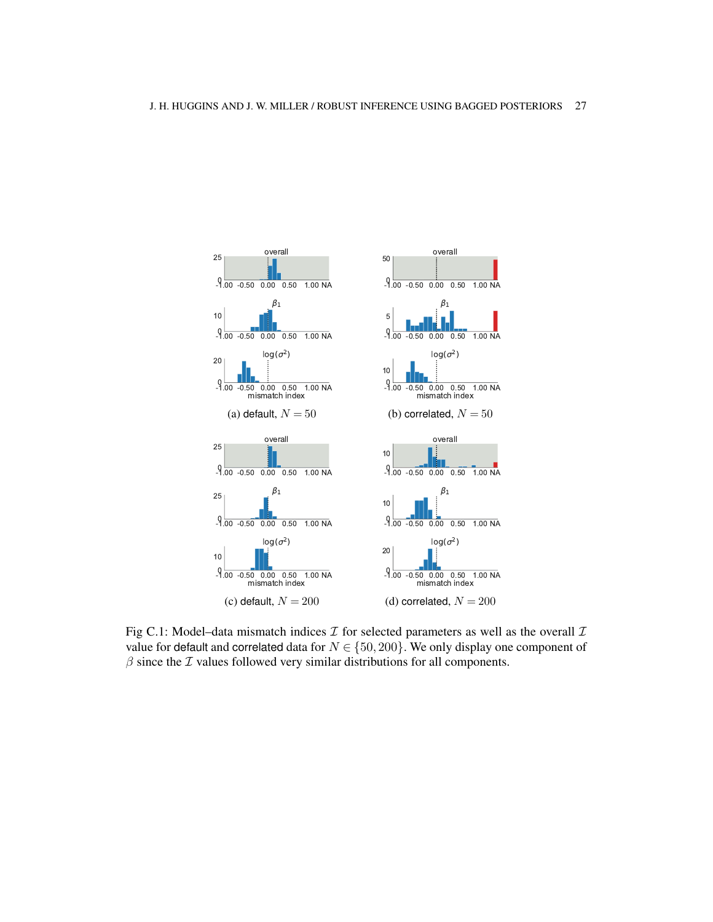<span id="page-26-0"></span>

Fig C.1: Model–data mismatch indices  $\mathcal I$  for selected parameters as well as the overall  $\mathcal I$ value for default and correlated data for  $N \in \{50, 200\}$ . We only display one component of  $\beta$  since the  $\mathcal I$  values followed very similar distributions for all components.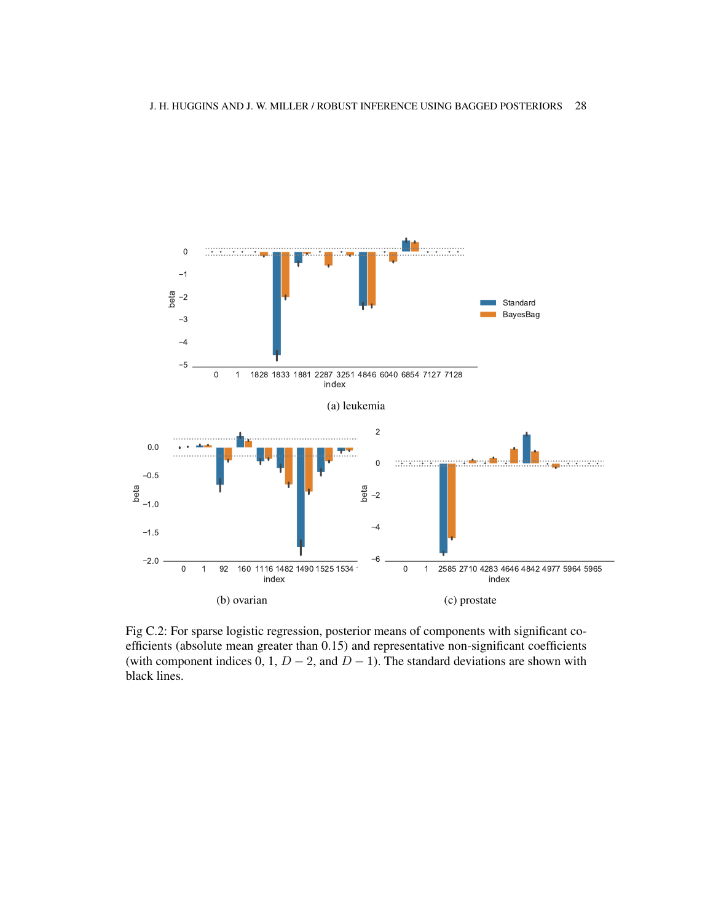<span id="page-27-0"></span>

Fig C.2: For sparse logistic regression, posterior means of components with significant coefficients (absolute mean greater than 0.15) and representative non-significant coefficients (with component indices 0, 1,  $D - 2$ , and  $D - 1$ ). The standard deviations are shown with black lines.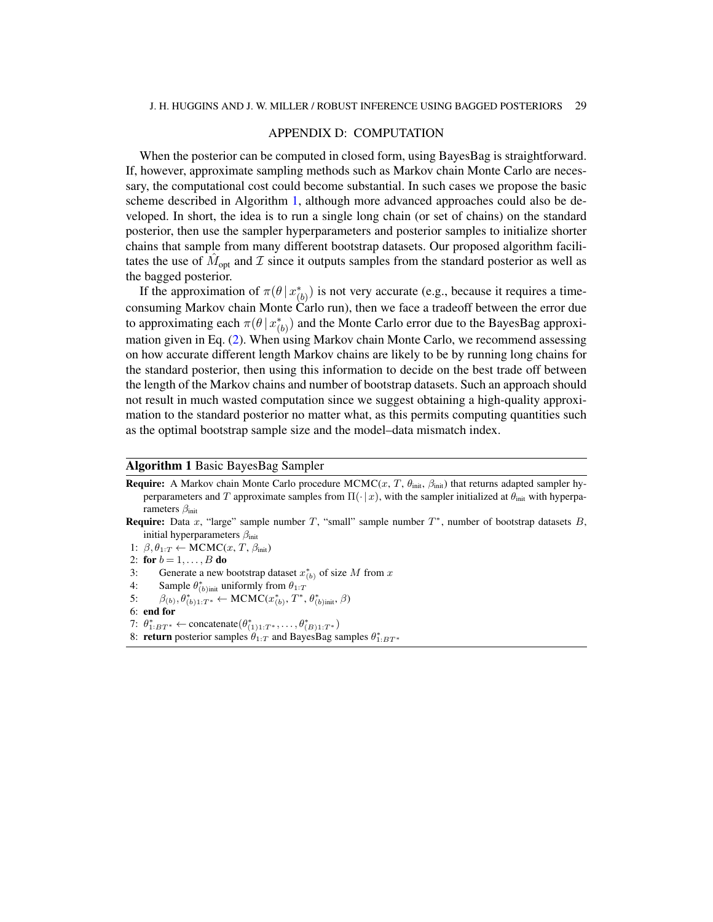### APPENDIX D: COMPUTATION

<span id="page-28-0"></span>When the posterior can be computed in closed form, using BayesBag is straightforward. If, however, approximate sampling methods such as Markov chain Monte Carlo are necessary, the computational cost could become substantial. In such cases we propose the basic scheme described in Algorithm [1,](#page-28-1) although more advanced approaches could also be developed. In short, the idea is to run a single long chain (or set of chains) on the standard posterior, then use the sampler hyperparameters and posterior samples to initialize shorter chains that sample from many different bootstrap datasets. Our proposed algorithm facilitates the use of  $\hat{M}_{opt}$  and  $\hat{T}$  since it outputs samples from the standard posterior as well as the bagged posterior.

If the approximation of  $\pi(\theta | x_{(b)}^*)$  is not very accurate (e.g., because it requires a timeconsuming Markov chain Monte Carlo run), then we face a tradeoff between the error due to approximating each  $\pi(\theta | x_{(b)}^*)$  and the Monte Carlo error due to the BayesBag approximation given in Eq. [\(2\)](#page-1-0). When using Markov chain Monte Carlo, we recommend assessing on how accurate different length Markov chains are likely to be by running long chains for the standard posterior, then using this information to decide on the best trade off between the length of the Markov chains and number of bootstrap datasets. Such an approach should not result in much wasted computation since we suggest obtaining a high-quality approximation to the standard posterior no matter what, as this permits computing quantities such as the optimal bootstrap sample size and the model–data mismatch index.

### <span id="page-28-1"></span>Algorithm 1 Basic BayesBag Sampler

- **Require:** A Markov chain Monte Carlo procedure  $MCMC(x, T, \theta_{init}, \beta_{init})$  that returns adapted sampler hyperparameters and T approximate samples from  $\Pi(\cdot|x)$ , with the sampler initialized at  $\theta_{\text{init}}$  with hyperparameters  $\beta_{\text{init}}$ **Require:** Data x, "large" sample number T, "small" sample number  $T^*$ , number of bootstrap datasets B,
- initial hyperparameters  $\beta_{\text{init}}$
- 1:  $\beta, \theta_{1:T} \leftarrow MCMC(x, T, \beta_{init})$
- 2: for  $b = 1, ..., B$  do
- 3: Generate a new bootstrap dataset  $x_{(b)}^*$  of size M from x
- 4: Sample  $\theta^*_{(b) \text{init}}$  uniformly from  $\theta_{1:T}$
- 5:  $\beta_{(b)}, \theta^*_{(b)1:T^*} \leftarrow MCMC(x^*_{(b)}, T^*, \theta^*_{(b)init}, \beta)$
- 6: end for
- 7:  $\theta^*_{1:BT^*} \leftarrow \text{concatenate}(\theta^*_{(1)1:T^*}, \dots, \theta^*_{(B)1:T^*})$
- 8: **return** posterior samples  $\hat{\theta}_{1:T}$  and Bayes Bag samples  $\theta_{1:BT^*}^*$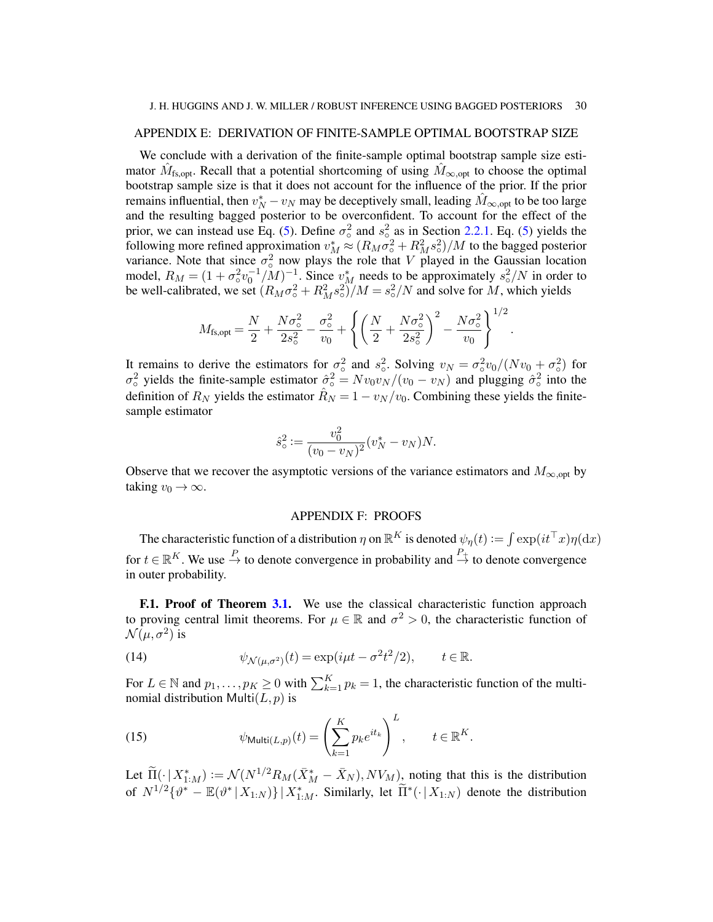### <span id="page-29-0"></span>APPENDIX E: DERIVATION OF FINITE-SAMPLE OPTIMAL BOOTSTRAP SIZE

We conclude with a derivation of the finite-sample optimal bootstrap sample size estimator  $\hat{M}_{\text{fs},\text{opt}}$ . Recall that a potential shortcoming of using  $\hat{M}_{\infty,\text{opt}}$  to choose the optimal bootstrap sample size is that it does not account for the influence of the prior. If the prior remains influential, then  $v_N^* - v_N$  may be deceptively small, leading  $\hat{M}_{\infty, opt}$  to be too large and the resulting bagged posterior to be overconfident. To account for the effect of the prior, we can instead use Eq. [\(5\)](#page-3-3). Define  $\sigma_{\circ}^2$  and  $s_{\circ}^2$  as in Section [2.2.1.](#page-4-1) Eq. (5) yields the  $_{\circ}$  and  $s_{\circ}$ following more refined approximation  $v_M^* \approx (R_M \sigma_o^2 + R_M^2 s_o^2)/M$  to the bagged posterior variance. Note that since  $\sigma_0^2$  now plays the role that V played in the Gaussian location model,  $R_M = (1 + \sigma_0^2 v_0^{-1}/M)^{-1}$ . Since  $v_M^*$  needs to be approximately  $s_0^2/N$  in order to be well-calibrated, we set  $(R_M \sigma_o^2 + R_M^2 s_o^2)/M = s_o^2/N$  and solve for M, which yields

$$
M_{\rm fs, opt} = \frac{N}{2} + \frac{N\sigma_{\rm o}^2}{2s_{\rm o}^2} - \frac{\sigma_{\rm o}^2}{v_0} + \left\{ \left(\frac{N}{2} + \frac{N\sigma_{\rm o}^2}{2s_{\rm o}^2}\right)^2 - \frac{N\sigma_{\rm o}^2}{v_0} \right\}^{1/2}.
$$

It remains to derive the estimators for  $\sigma_0^2$  and  $s_0^2$ . Solving  $v_N = \sigma_0^2 v_0/(Nv_0 + \sigma_0^2)$  for  $\sigma_0^2$  yields the finite-sample estimator  $\hat{\sigma}_0^2 = Nv_0v_N/(v_0 - v_N)$  and plugging  $\hat{\sigma}_0^2$  into the definition of  $R_N$  yields the estimator  $\hat{R}_N = 1 - v_N/v_0$ . Combining these yields the finitesample estimator

$$
\hat{s}_{\circ}^{2} := \frac{v_{0}^{2}}{(v_{0} - v_{N})^{2}} (v_{N}^{*} - v_{N}) N.
$$

Observe that we recover the asymptotic versions of the variance estimators and  $M_{\infty, \text{opt}}$  by taking  $v_0 \rightarrow \infty$ .

### APPENDIX F: PROOFS

The characteristic function of a distribution  $\eta$  on  $\mathbb{R}^K$  is denoted  $\psi_\eta(t) := \int \exp(it^\top x) \eta(\mathrm{d} x)$ for  $t \in \mathbb{R}^K$ . We use  $\stackrel{P}{\to}$  to denote convergence in probability and  $\stackrel{P_+}{\to}$  to denote convergence in outer probability.

<span id="page-29-1"></span>**F.1. Proof of Theorem [3.1.](#page-9-1)** We use the classical characteristic function approach to proving central limit theorems. For  $\mu \in \mathbb{R}$  and  $\sigma^2 > 0$ , the characteristic function of  $\mathcal{N}(\mu, \sigma^2)$  is

<span id="page-29-2"></span>(14) 
$$
\psi_{\mathcal{N}(\mu,\sigma^2)}(t) = \exp(i\mu t - \sigma^2 t^2/2), \qquad t \in \mathbb{R}.
$$

For  $L \in \mathbb{N}$  and  $p_1, \ldots, p_K \ge 0$  with  $\sum_{k=1}^K p_k = 1$ , the characteristic function of the multinomial distribution  $Multi(L, p)$  is

<span id="page-29-3"></span>(15) 
$$
\psi_{\text{Multi}(L,p)}(t) = \left(\sum_{k=1}^{K} p_k e^{it_k}\right)^L, \qquad t \in \mathbb{R}^{K}.
$$

Let  $\widetilde{\Pi}(\cdot | X_{1:M}^*) := \mathcal{N}(N^{1/2}R_M(\bar{X}_M^* - \bar{X}_N), NV_M)$ , noting that this is the distribution of  $N^{1/2}\{\theta^* - \mathbb{E}(\theta^* | X_{1:N})\} | X_{1:M}^*$ . Similarly, let  $\tilde{\Pi}^*(\cdot | X_{1:N})$  denote the distribution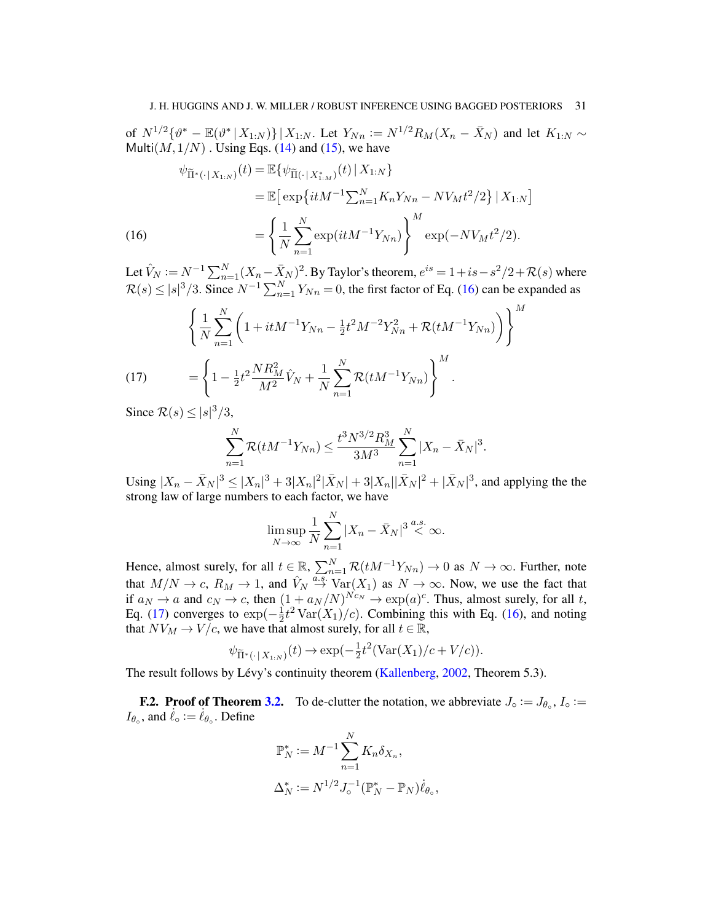of  $N^{1/2}\{\vartheta^* - \mathbb{E}(\vartheta^* | X_{1:N})\} | X_{1:N}$ . Let  $Y_{Nn} := N^{1/2}R_M(X_n - \bar{X}_N)$  and let  $K_{1:N} \sim$ Multi $(M, 1/N)$ . Using Eqs. [\(14\)](#page-29-2) and [\(15\)](#page-29-3), we have

(16)  
\n
$$
\psi_{\tilde{\Pi}^*(\cdot|X_{1:N})}(t) = \mathbb{E}\{\psi_{\tilde{\Pi}(\cdot|X_{1:M}^*)}(t) | X_{1:N}\}\
$$
\n
$$
= \mathbb{E}\left[\exp\{itM^{-1}\sum_{n=1}^N K_n Y_{Nn} - N V_M t^2 / 2\} | X_{1:N}\right]
$$
\n
$$
= \left\{\frac{1}{N}\sum_{n=1}^N \exp(itM^{-1}Y_{Nn})\right\}^M \exp(-NV_M t^2 / 2).
$$

<span id="page-30-1"></span>Let  $\hat{V}_N:=N^{-1}\sum_{n=1}^N(X_n-\bar{X}_N)^2.$  By Taylor's theorem,  $e^{is}=1+is-s^2/2+\mathcal{R}(s)$  where  $\mathcal{R}(s) \le |s|^3/3$ . Since  $N^{-1} \sum_{n=1}^{N} Y_{Nn} = 0$ , the first factor of Eq. [\(16\)](#page-30-1) can be expanded as

(17) 
$$
\left\{\frac{1}{N}\sum_{n=1}^{N}\left(1+itM^{-1}Y_{Nn}-\frac{1}{2}t^{2}M^{-2}Y_{Nn}^{2}+\mathcal{R}(tM^{-1}Y_{Nn})\right)\right\}^{M}
$$

$$
=\left\{1-\frac{1}{2}t^{2}\frac{NR_{M}^{2}}{M^{2}}\hat{V}_{N}+\frac{1}{N}\sum_{n=1}^{N}\mathcal{R}(tM^{-1}Y_{Nn})\right\}^{M}.
$$

<span id="page-30-2"></span>Since  $\mathcal{R}(s) \leq |s|^3/3$ ,

$$
\sum_{n=1}^{N} \mathcal{R}(tM^{-1}Y_{Nn}) \leq \frac{t^3 N^{3/2} R_M^3}{3M^3} \sum_{n=1}^{N} |X_n - \bar{X}_N|^3.
$$

Using  $|X_n - \bar{X}_N|^3 \le |X_n|^3 + 3|X_n|^2 |\bar{X}_N| + 3|X_n||\bar{X}_N|^2 + |\bar{X}_N|^3$ , and applying the the strong law of large numbers to each factor, we have

$$
\limsup_{N \to \infty} \frac{1}{N} \sum_{n=1}^{N} |X_n - \bar{X}_N|^{3} \stackrel{a.s.}{<} \infty.
$$

Hence, almost surely, for all  $t \in \mathbb{R}$ ,  $\sum_{n=1}^{N} \mathcal{R}(tM^{-1}Y_{Nn}) \to 0$  as  $N \to \infty$ . Further, note that  $M/N \to c$ ,  $R_M \to 1$ , and  $\hat{V}_N \stackrel{a.s.}{\to} \text{Var}(X_1)$  as  $N \to \infty$ . Now, we use the fact that if  $a_N \to a$  and  $c_N \to c$ , then  $(1 + a_N/N)^{Nc_N} \to \exp(a)^c$ . Thus, almost surely, for all t, Eq. [\(17\)](#page-30-2) converges to  $\exp(-\frac{1}{2})$  $\frac{1}{2}t^2 \text{Var}(X_1)/c$ . Combining this with Eq. [\(16\)](#page-30-1), and noting that  $NV_M \rightarrow V/c$ , we have that almost surely, for all  $t \in \mathbb{R}$ ,

$$
\psi_{\widetilde{\Pi}^*(\cdot \mid X_{1:N})}(t) \to \exp(-\tfrac{1}{2}t^2(\text{Var}(X_1)/c + V/c)).
$$

The result follows by Lévy's continuity theorem [\(Kallenberg,](#page-22-27) [2002,](#page-22-27) Theorem 5.3).

<span id="page-30-0"></span>**F.2. Proof of Theorem [3.2.](#page-9-0)** To de-clutter the notation, we abbreviate  $J_0 := J_{\theta_o}$ ,  $I_0 :=$  $I_{\theta_{\circ}}$ , and  $\dot{\ell}_{\circ} := \dot{\ell}_{\theta_{\circ}}$ . Define

$$
\mathbb{P}_N^* := M^{-1} \sum_{n=1}^N K_n \delta_{X_n},
$$
  

$$
\Delta_N^* := N^{1/2} J_0^{-1} (\mathbb{P}_N^* - \mathbb{P}_N) \dot{\ell}_{\theta_0},
$$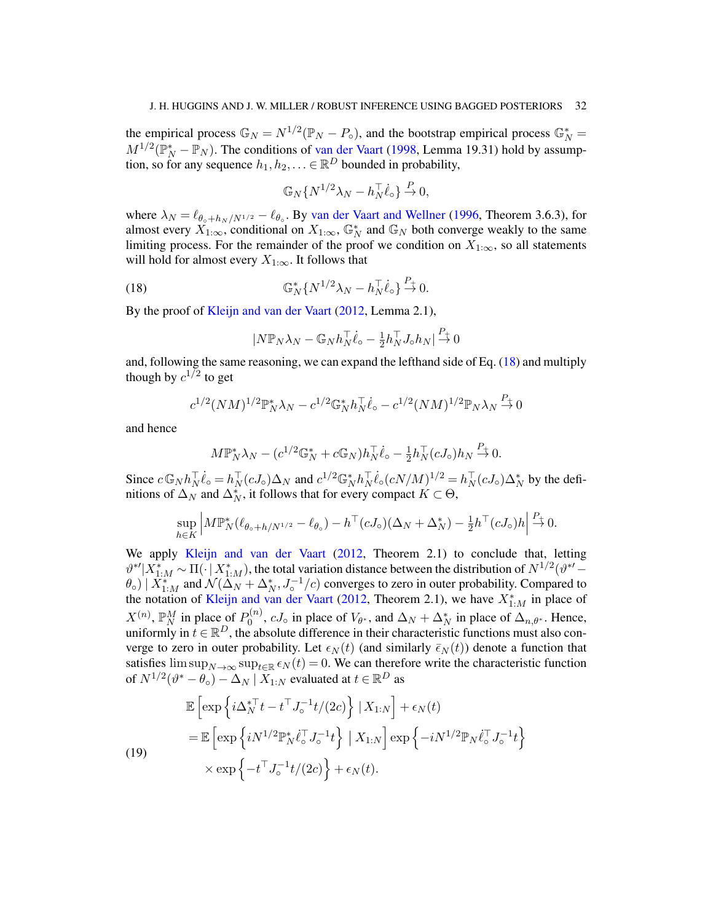the empirical process  $\mathbb{G}_N = N^{1/2}(\mathbb{P}_N - P_{\circ})$ , and the bootstrap empirical process  $\mathbb{G}_N^* =$  $M^{1/2}(\mathbb{P}_N^* - \mathbb{P}_N)$ . The conditions of [van der Vaart](#page-23-3) [\(1998,](#page-23-3) Lemma 19.31) hold by assumption, so for any sequence  $h_1, h_2, \ldots \in \mathbb{R}^D$  bounded in probability,

$$
\mathbb{G}_N\{N^{1/2}\lambda_N - h_N^{\top}\dot{\ell}_\circ\} \stackrel{P}{\to} 0,
$$

where  $\lambda_N = \ell_{\theta \circ +h_N /N^{1/2}} - \ell_{\theta \circ}$ . By [van der Vaart and Wellner](#page-23-4) [\(1996,](#page-23-4) Theorem 3.6.3), for almost every  $X_{1:\infty}$ , conditional on  $X_{1:\infty}$ ,  $\mathbb{G}_N^*$  and  $\mathbb{G}_N$  both converge weakly to the same limiting process. For the remainder of the proof we condition on  $X_{1:\infty}$ , so all statements will hold for almost every  $X_{1:\infty}$ . It follows that

<span id="page-31-0"></span>(18) 
$$
\mathbb{G}_N^* \{ N^{1/2} \lambda_N - h_N^{\top} \dot{\ell}_\circ \} \stackrel{P_+}{\to} 0.
$$

By the proof of [Kleijn and van der Vaart](#page-22-6) [\(2012,](#page-22-6) Lemma 2.1),

$$
|N\mathbb{P}_N\lambda_N - \mathbb{G}_N h_N^{\top} \dot{\ell}_\circ - \frac{1}{2} h_N^{\top} J_\circ h_N| \stackrel{P_+}{\to} 0
$$

and, following the same reasoning, we can expand the lefthand side of Eq. [\(18\)](#page-31-0) and multiply though by  $c^{1/2}$  to get

$$
c^{1/2}(NM)^{1/2}\mathbb{P}_N^*\lambda_N - c^{1/2}\mathbb{G}_N^*h_N^{\top}\dot{\ell}_\circ - c^{1/2}(NM)^{1/2}\mathbb{P}_N\lambda_N \stackrel{P_+}{\to} 0
$$

and hence

$$
M\mathbb{P}_N^*\lambda_N - (c^{1/2}\mathbb{G}_N^* + c\mathbb{G}_N)h_N^{\top}\dot{\ell}_\circ - \frac{1}{2}h_N^{\top}(cJ_\circ)h_N \overset{P_+}{\to} 0.
$$

Since  $c \mathbb{G}_N h_N^{\top} \dot{\ell}_\circ = h_N^{\top} (cJ_\circ) \Delta_N$  and  $c^{1/2} \mathbb{G}_N^* h_N^{\top} \dot{\ell}_\circ (cN/M)^{1/2} = h_N^{\top} (cJ_\circ) \Delta_N^*$  by the defimitions of  $\Delta_N$  and  $\Delta_N^*$ , it follows that for every compact  $K \subset \Theta$ ,

$$
\sup_{h\in K} \left| M\mathbb{P}_N^*(\ell_{\theta_o+h/N^{1/2}} - \ell_{\theta_o}) - h^{\top}(cJ_o)(\Delta_N + \Delta_N^*) - \frac{1}{2}h^{\top}(cJ_o)h \right| \stackrel{P_+}{\to} 0.
$$

We apply [Kleijn and van der Vaart](#page-22-6) [\(2012,](#page-22-6) Theorem 2.1) to conclude that, letting  $\theta^{*'}|X_{1:M}^*\sim\Pi(\cdot|X_{1:M}^*)$ , the total variation distance between the distribution of  $N^{1/2}(\theta^{*'} (\theta_0)$  |  $\overline{X}_{1:M}^*$  and  $\mathcal{N}(\Delta_N + \Delta_N^*, J_\circ^{-1}/c)$  converges to zero in outer probability. Compared to the notation of [Kleijn and van der Vaart](#page-22-6) [\(2012,](#page-22-6) Theorem 2.1), we have  $X^*_{1:M}$  in place of  $X^{(n)}$ ,  $\mathbb{P}_{N}^{M}$  in place of  $P_{0}^{(n)}$  $\Delta_0^{(n)}$ ,  $cJ_{\circ}$  in place of  $V_{\theta^*}$ , and  $\Delta_N + \Delta_N^*$  in place of  $\Delta_{n,\theta^*}$ . Hence, uniformly in  $\hat{t} \in \mathbb{R}^D$ , the absolute difference in their characteristic functions must also converge to zero in outer probability. Let  $\epsilon_N (t)$  (and similarly  $\bar{\epsilon}_N (t)$ ) denote a function that satisfies  $\limsup_{N\to\infty} \sup_{t\in\mathbb{R}} \epsilon_N(t) = 0$ . We can therefore write the characteristic function of  $N^{1/2}(\vartheta^* - \theta_\circ) - \Delta_N \mid X_{1:N}$  evaluated at  $t \in \mathbb{R}^D$  as

<span id="page-31-1"></span>
$$
\mathbb{E}\left[\exp\left\{i\Delta_N^{*T}t - t^{\top}J_o^{-1}t/(2c)\right\}|X_{1:N}\right] + \epsilon_N(t)
$$
\n
$$
= \mathbb{E}\left[\exp\left\{iN^{1/2}\mathbb{P}_N^*\dot{\ell}_o^{\top}J_o^{-1}t\right\}|X_{1:N}\right]\exp\left\{-iN^{1/2}\mathbb{P}_N\dot{\ell}_o^{\top}J_o^{-1}t\right\}
$$
\n
$$
\times \exp\left\{-t^{\top}J_o^{-1}t/(2c)\right\} + \epsilon_N(t).
$$